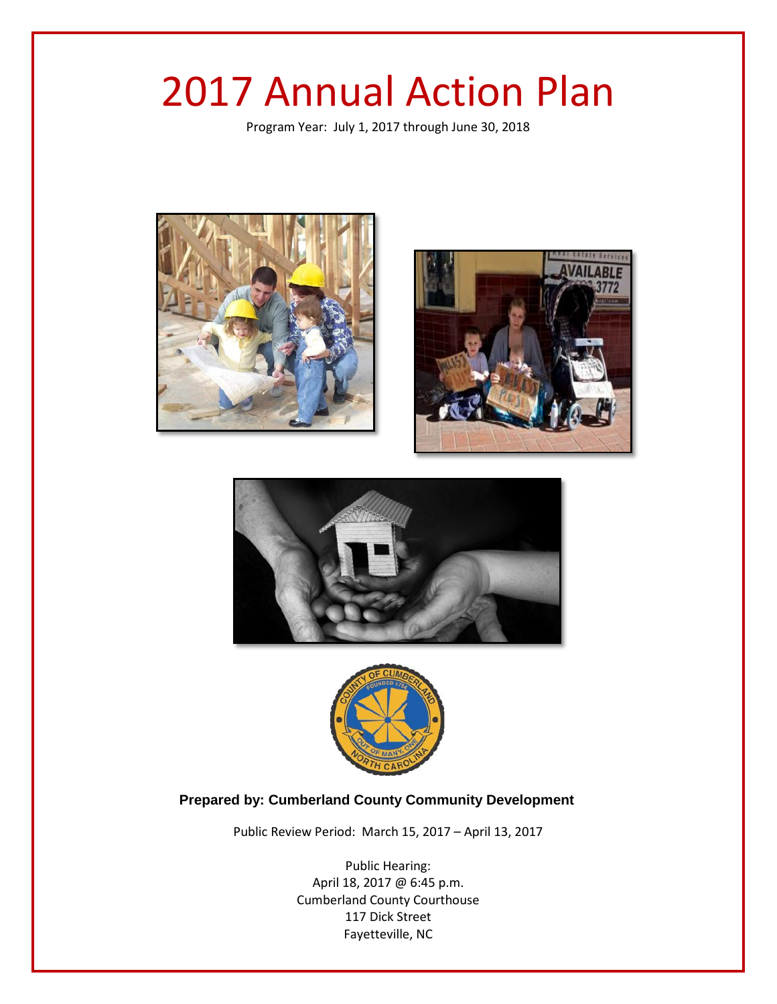# 2017 Annual Action Plan

Program Year: July 1, 2017 through June 30, 2018









## **Prepared by: Cumberland County Community Development**

Public Review Period: March 15, 2017 – April 13, 2017

Public Hearing: April 18, 2017 @ 6:45 p.m. Cumberland County Courthouse 117 Dick Street Fayetteville, NC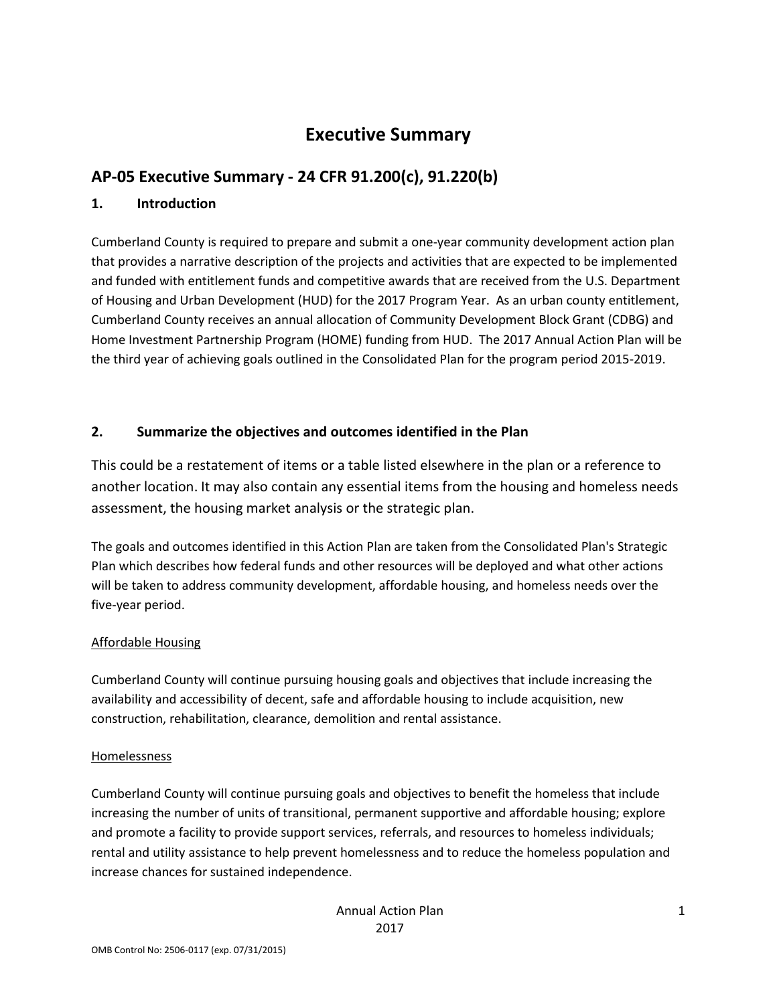## **Executive Summary**

## **AP-05 Executive Summary - 24 CFR 91.200(c), 91.220(b)**

#### **1. Introduction**

Cumberland County is required to prepare and submit a one-year community development action plan that provides a narrative description of the projects and activities that are expected to be implemented and funded with entitlement funds and competitive awards that are received from the U.S. Department of Housing and Urban Development (HUD) for the 2017 Program Year. As an urban county entitlement, Cumberland County receives an annual allocation of Community Development Block Grant (CDBG) and Home Investment Partnership Program (HOME) funding from HUD. The 2017 Annual Action Plan will be the third year of achieving goals outlined in the Consolidated Plan for the program period 2015-2019.

## **2. Summarize the objectives and outcomes identified in the Plan**

This could be a restatement of items or a table listed elsewhere in the plan or a reference to another location. It may also contain any essential items from the housing and homeless needs assessment, the housing market analysis or the strategic plan.

The goals and outcomes identified in this Action Plan are taken from the Consolidated Plan's Strategic Plan which describes how federal funds and other resources will be deployed and what other actions will be taken to address community development, affordable housing, and homeless needs over the five-year period.

## Affordable Housing

Cumberland County will continue pursuing housing goals and objectives that include increasing the availability and accessibility of decent, safe and affordable housing to include acquisition, new construction, rehabilitation, clearance, demolition and rental assistance.

#### Homelessness

Cumberland County will continue pursuing goals and objectives to benefit the homeless that include increasing the number of units of transitional, permanent supportive and affordable housing; explore and promote a facility to provide support services, referrals, and resources to homeless individuals; rental and utility assistance to help prevent homelessness and to reduce the homeless population and increase chances for sustained independence.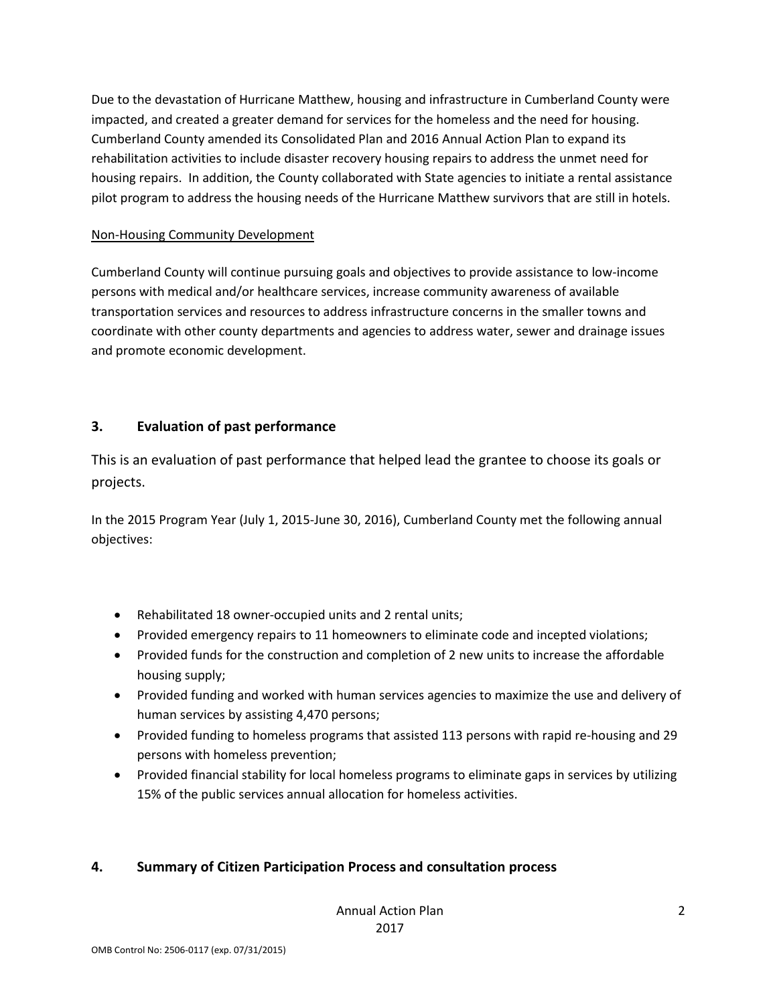Due to the devastation of Hurricane Matthew, housing and infrastructure in Cumberland County were impacted, and created a greater demand for services for the homeless and the need for housing. Cumberland County amended its Consolidated Plan and 2016 Annual Action Plan to expand its rehabilitation activities to include disaster recovery housing repairs to address the unmet need for housing repairs. In addition, the County collaborated with State agencies to initiate a rental assistance pilot program to address the housing needs of the Hurricane Matthew survivors that are still in hotels.

#### Non-Housing Community Development

Cumberland County will continue pursuing goals and objectives to provide assistance to low-income persons with medical and/or healthcare services, increase community awareness of available transportation services and resources to address infrastructure concerns in the smaller towns and coordinate with other county departments and agencies to address water, sewer and drainage issues and promote economic development.

## **3. Evaluation of past performance**

This is an evaluation of past performance that helped lead the grantee to choose its goals or projects.

In the 2015 Program Year (July 1, 2015-June 30, 2016), Cumberland County met the following annual objectives:

- Rehabilitated 18 owner-occupied units and 2 rental units;
- Provided emergency repairs to 11 homeowners to eliminate code and incepted violations;
- Provided funds for the construction and completion of 2 new units to increase the affordable housing supply;
- Provided funding and worked with human services agencies to maximize the use and delivery of human services by assisting 4,470 persons;
- Provided funding to homeless programs that assisted 113 persons with rapid re-housing and 29 persons with homeless prevention;
- Provided financial stability for local homeless programs to eliminate gaps in services by utilizing 15% of the public services annual allocation for homeless activities.

## **4. Summary of Citizen Participation Process and consultation process**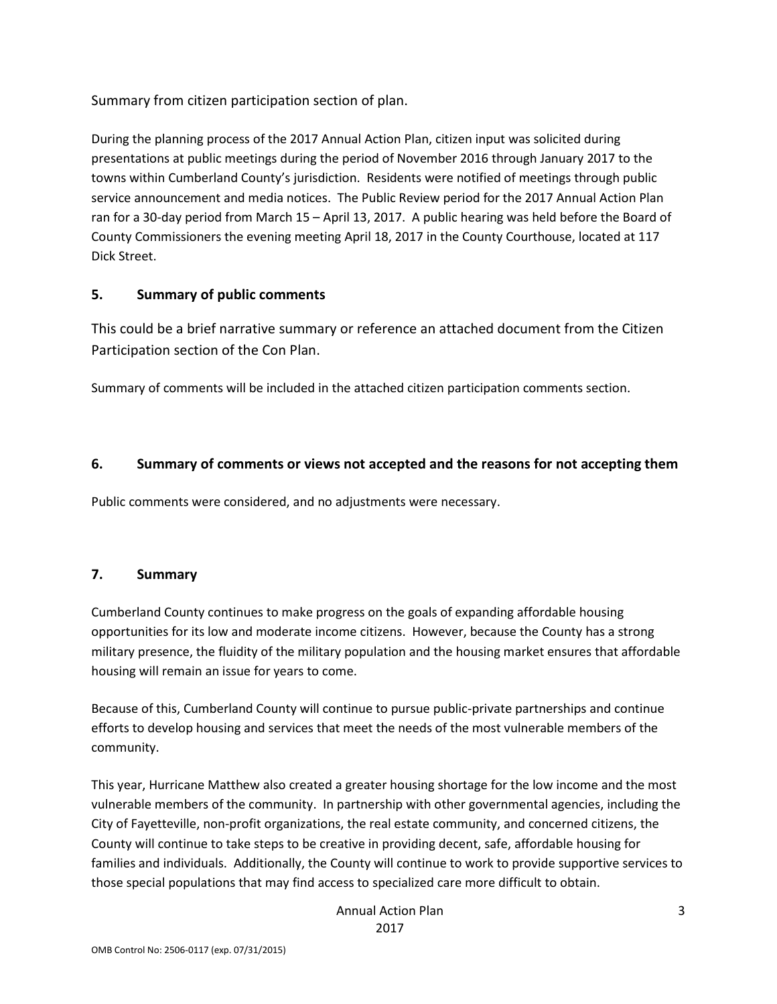Summary from citizen participation section of plan.

During the planning process of the 2017 Annual Action Plan, citizen input was solicited during presentations at public meetings during the period of November 2016 through January 2017 to the towns within Cumberland County's jurisdiction. Residents were notified of meetings through public service announcement and media notices. The Public Review period for the 2017 Annual Action Plan ran for a 30-day period from March 15 – April 13, 2017. A public hearing was held before the Board of County Commissioners the evening meeting April 18, 2017 in the County Courthouse, located at 117 Dick Street.

## **5. Summary of public comments**

This could be a brief narrative summary or reference an attached document from the Citizen Participation section of the Con Plan.

Summary of comments will be included in the attached citizen participation comments section.

## **6. Summary of comments or views not accepted and the reasons for not accepting them**

Public comments were considered, and no adjustments were necessary.

## **7. Summary**

Cumberland County continues to make progress on the goals of expanding affordable housing opportunities for its low and moderate income citizens. However, because the County has a strong military presence, the fluidity of the military population and the housing market ensures that affordable housing will remain an issue for years to come.

Because of this, Cumberland County will continue to pursue public-private partnerships and continue efforts to develop housing and services that meet the needs of the most vulnerable members of the community.

This year, Hurricane Matthew also created a greater housing shortage for the low income and the most vulnerable members of the community. In partnership with other governmental agencies, including the City of Fayetteville, non-profit organizations, the real estate community, and concerned citizens, the County will continue to take steps to be creative in providing decent, safe, affordable housing for families and individuals. Additionally, the County will continue to work to provide supportive services to those special populations that may find access to specialized care more difficult to obtain.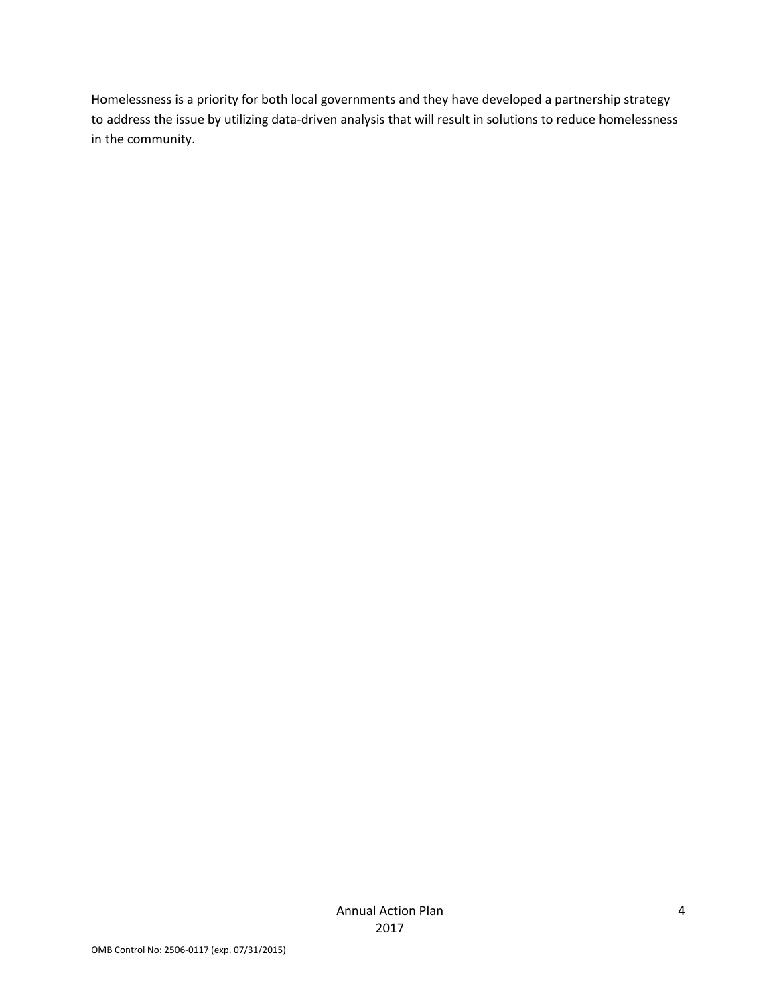Homelessness is a priority for both local governments and they have developed a partnership strategy to address the issue by utilizing data-driven analysis that will result in solutions to reduce homelessness in the community.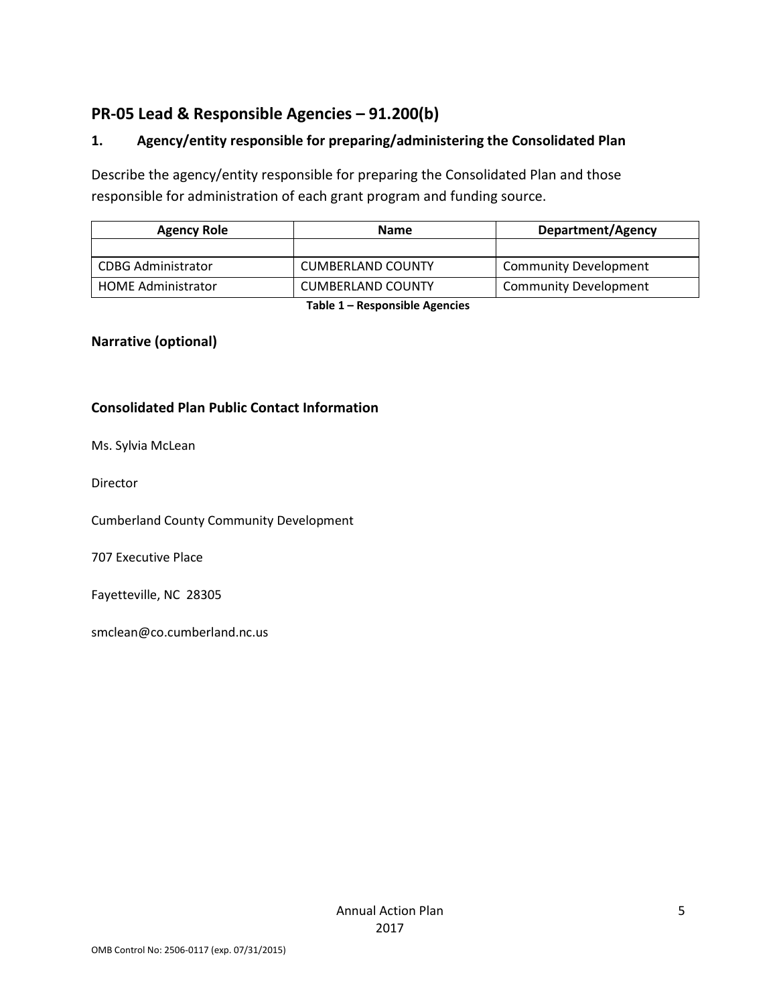## **PR-05 Lead & Responsible Agencies – 91.200(b)**

## **1. Agency/entity responsible for preparing/administering the Consolidated Plan**

Describe the agency/entity responsible for preparing the Consolidated Plan and those responsible for administration of each grant program and funding source.

| <b>Agency Role</b>        | <b>Name</b>              | Department/Agency            |  |
|---------------------------|--------------------------|------------------------------|--|
|                           |                          |                              |  |
| CDBG Administrator        | <b>CUMBERLAND COUNTY</b> | <b>Community Development</b> |  |
| <b>HOME Administrator</b> | <b>CUMBERLAND COUNTY</b> | <b>Community Development</b> |  |

**Table 1 – Responsible Agencies**

## **Narrative (optional)**

#### **Consolidated Plan Public Contact Information**

Ms. Sylvia McLean

Director

Cumberland County Community Development

707 Executive Place

Fayetteville, NC 28305

smclean@co.cumberland.nc.us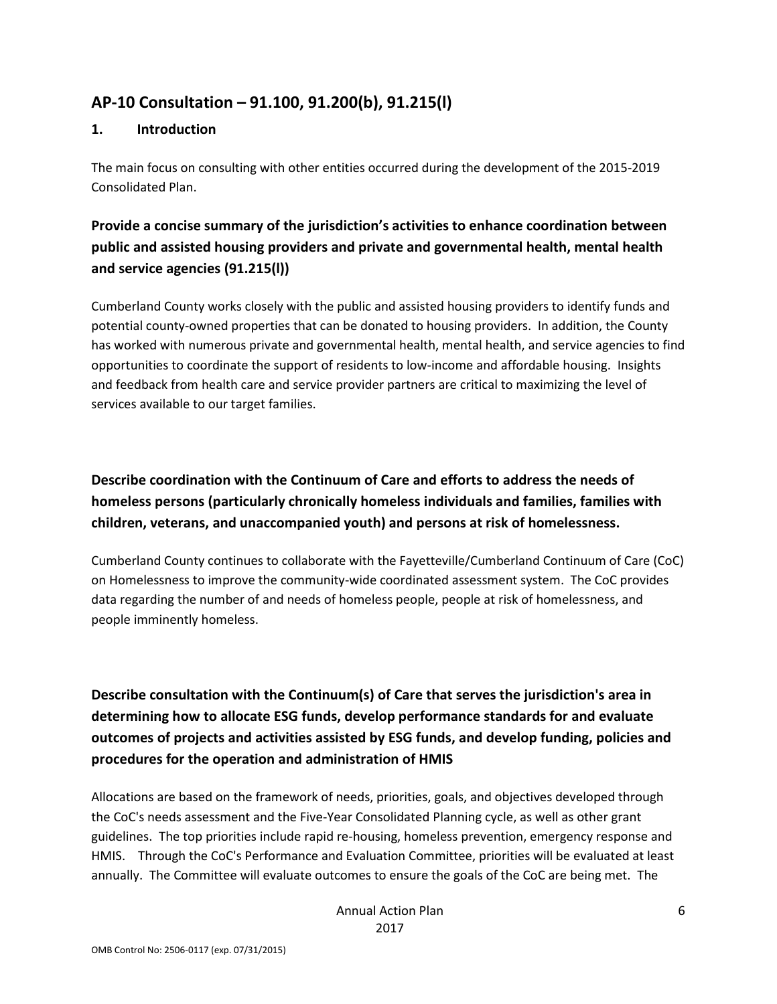## **AP-10 Consultation – 91.100, 91.200(b), 91.215(l)**

#### **1. Introduction**

The main focus on consulting with other entities occurred during the development of the 2015-2019 Consolidated Plan.

## **Provide a concise summary of the jurisdiction's activities to enhance coordination between public and assisted housing providers and private and governmental health, mental health and service agencies (91.215(l))**

Cumberland County works closely with the public and assisted housing providers to identify funds and potential county-owned properties that can be donated to housing providers. In addition, the County has worked with numerous private and governmental health, mental health, and service agencies to find opportunities to coordinate the support of residents to low-income and affordable housing. Insights and feedback from health care and service provider partners are critical to maximizing the level of services available to our target families.

## **Describe coordination with the Continuum of Care and efforts to address the needs of homeless persons (particularly chronically homeless individuals and families, families with children, veterans, and unaccompanied youth) and persons at risk of homelessness.**

Cumberland County continues to collaborate with the Fayetteville/Cumberland Continuum of Care (CoC) on Homelessness to improve the community-wide coordinated assessment system. The CoC provides data regarding the number of and needs of homeless people, people at risk of homelessness, and people imminently homeless.

## **Describe consultation with the Continuum(s) of Care that serves the jurisdiction's area in determining how to allocate ESG funds, develop performance standards for and evaluate outcomes of projects and activities assisted by ESG funds, and develop funding, policies and procedures for the operation and administration of HMIS**

Allocations are based on the framework of needs, priorities, goals, and objectives developed through the CoC's needs assessment and the Five-Year Consolidated Planning cycle, as well as other grant guidelines. The top priorities include rapid re-housing, homeless prevention, emergency response and HMIS. Through the CoC's Performance and Evaluation Committee, priorities will be evaluated at least annually. The Committee will evaluate outcomes to ensure the goals of the CoC are being met. The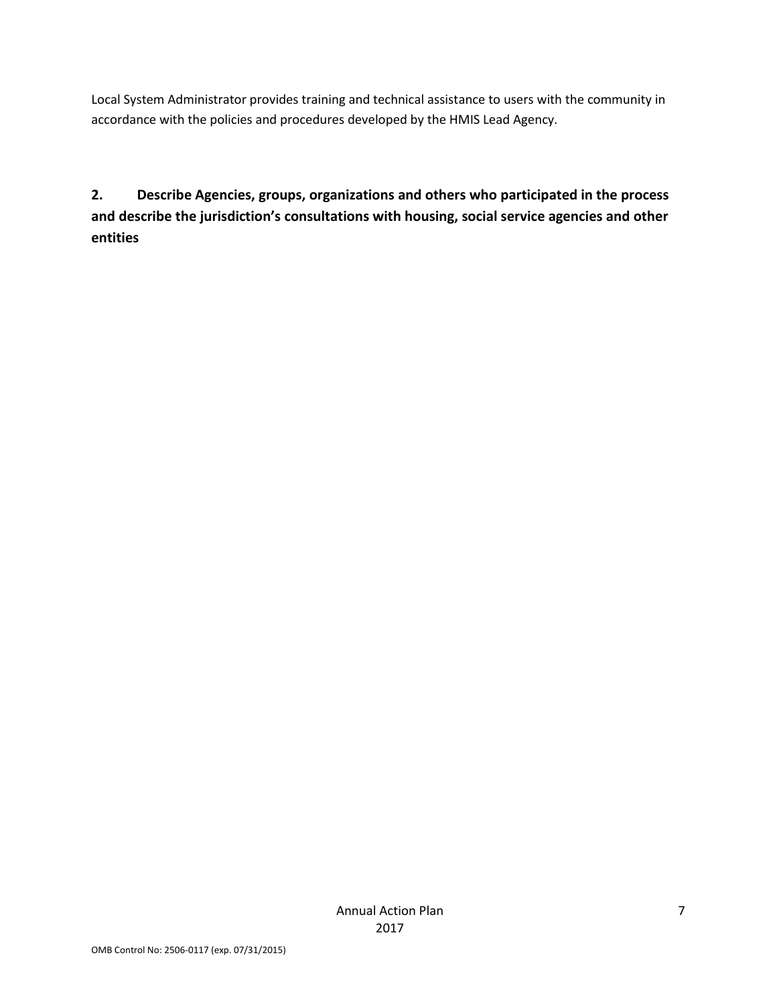Local System Administrator provides training and technical assistance to users with the community in accordance with the policies and procedures developed by the HMIS Lead Agency.

**2. Describe Agencies, groups, organizations and others who participated in the process and describe the jurisdiction's consultations with housing, social service agencies and other entities**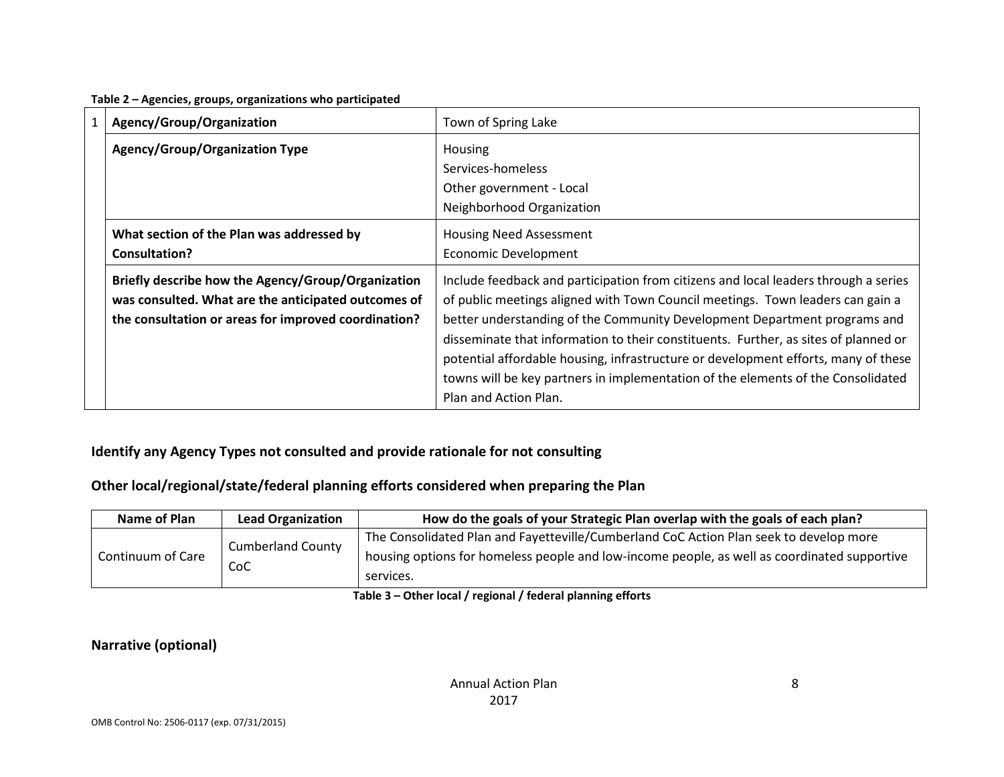| Table 2 - Agencies, groups, organizations who participated |  |  |
|------------------------------------------------------------|--|--|
|------------------------------------------------------------|--|--|

| 1 | Agency/Group/Organization                                                                                 | Town of Spring Lake                                                                                                                                                   |
|---|-----------------------------------------------------------------------------------------------------------|-----------------------------------------------------------------------------------------------------------------------------------------------------------------------|
|   | <b>Agency/Group/Organization Type</b>                                                                     | <b>Housing</b>                                                                                                                                                        |
|   |                                                                                                           | Services-homeless                                                                                                                                                     |
|   |                                                                                                           | Other government - Local                                                                                                                                              |
|   |                                                                                                           | Neighborhood Organization                                                                                                                                             |
|   | What section of the Plan was addressed by                                                                 | <b>Housing Need Assessment</b>                                                                                                                                        |
|   | Consultation?                                                                                             | <b>Economic Development</b>                                                                                                                                           |
|   | Briefly describe how the Agency/Group/Organization<br>was consulted. What are the anticipated outcomes of | Include feedback and participation from citizens and local leaders through a series<br>of public meetings aligned with Town Council meetings. Town leaders can gain a |
|   | the consultation or areas for improved coordination?                                                      | better understanding of the Community Development Department programs and                                                                                             |
|   |                                                                                                           | disseminate that information to their constituents. Further, as sites of planned or                                                                                   |
|   |                                                                                                           | potential affordable housing, infrastructure or development efforts, many of these                                                                                    |
|   |                                                                                                           | towns will be key partners in implementation of the elements of the Consolidated                                                                                      |
|   |                                                                                                           | Plan and Action Plan.                                                                                                                                                 |

## **Identify any Agency Types not consulted and provide rationale for not consulting**

## **Other local/regional/state/federal planning efforts considered when preparing the Plan**

| Name of Plan      | <b>Lead Organization</b> | How do the goals of your Strategic Plan overlap with the goals of each plan?                              |
|-------------------|--------------------------|-----------------------------------------------------------------------------------------------------------|
|                   | <b>Cumberland County</b> | The Consolidated Plan and Fayetteville/Cumberland CoC Action Plan seek to develop more                    |
| Continuum of Care | CoC                      | housing options for homeless people and low-income people, as well as coordinated supportive<br>services. |

**Table 3 – Other local / regional / federal planning efforts**

## **Narrative (optional)**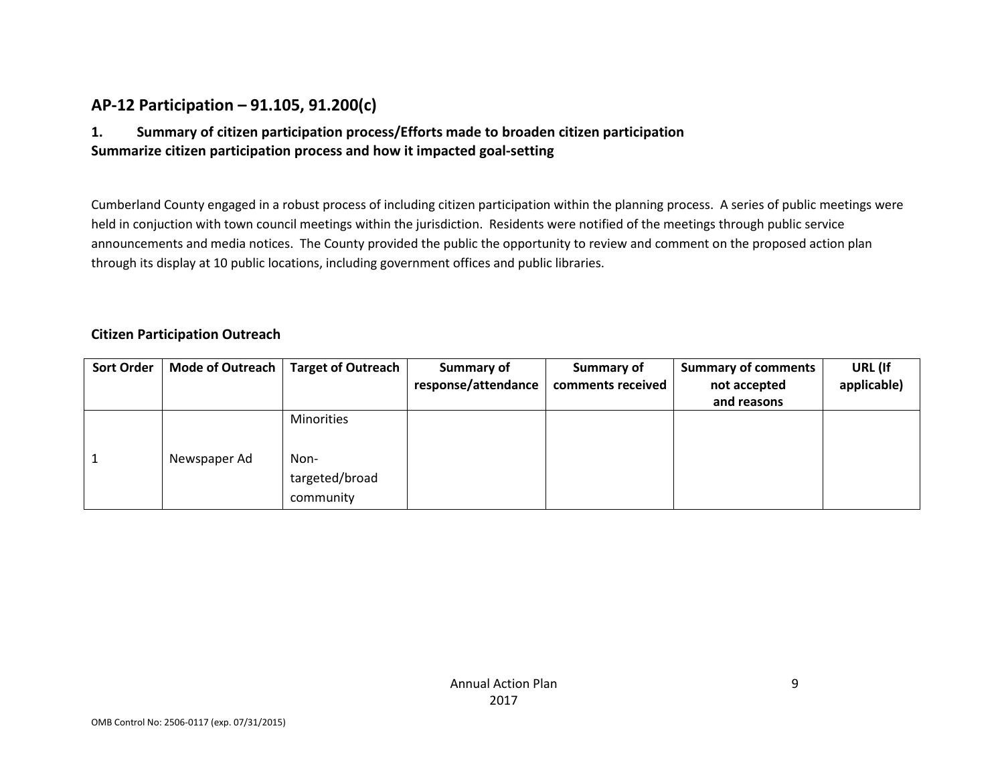## **AP-12 Participation – 91.105, 91.200(c)**

## **1. Summary of citizen participation process/Efforts made to broaden citizen participation Summarize citizen participation process and how it impacted goal-setting**

Cumberland County engaged in a robust process of including citizen participation within the planning process. A series of public meetings were held in conjuction with town council meetings within the jurisdiction. Residents were notified of the meetings through public service announcements and media notices. The County provided the public the opportunity to review and comment on the proposed action plan through its display at 10 public locations, including government offices and public libraries.

#### **Citizen Participation Outreach**

| <b>Sort Order</b> | Mode of Outreach | Target of Outreach | Summary of          | Summary of        | <b>Summary of comments</b> | URL (If     |
|-------------------|------------------|--------------------|---------------------|-------------------|----------------------------|-------------|
|                   |                  |                    | response/attendance | comments received | not accepted               | applicable) |
|                   |                  |                    |                     |                   | and reasons                |             |
|                   |                  | <b>Minorities</b>  |                     |                   |                            |             |
|                   |                  |                    |                     |                   |                            |             |
|                   | Newspaper Ad     | Non-               |                     |                   |                            |             |
|                   |                  | targeted/broad     |                     |                   |                            |             |
|                   |                  | community          |                     |                   |                            |             |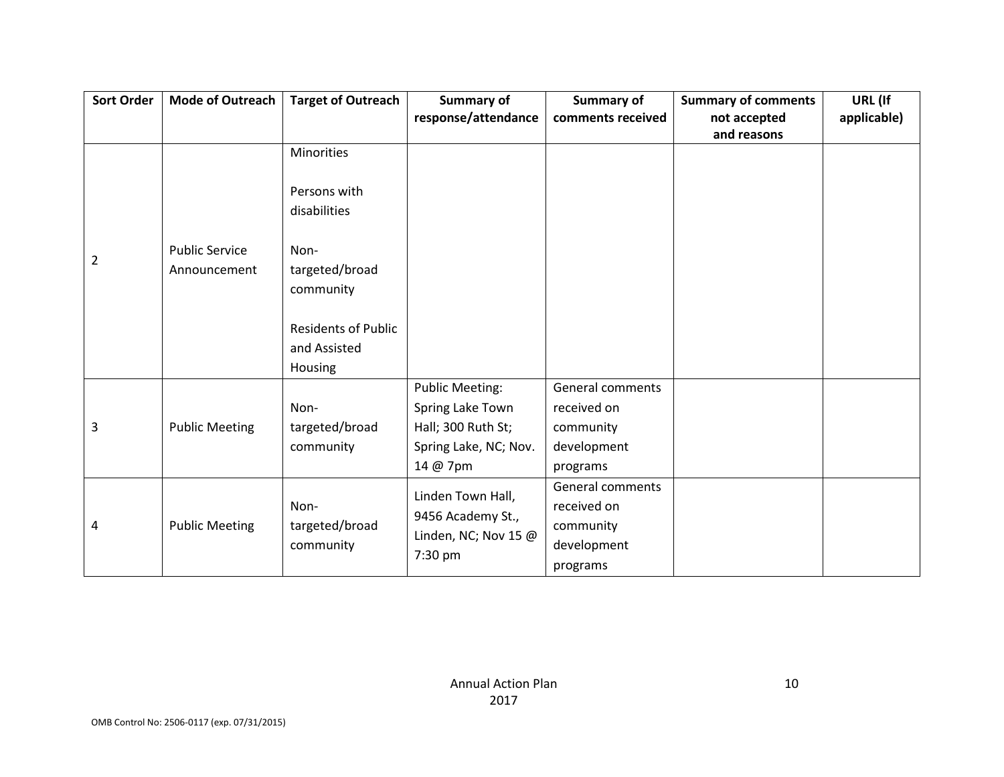| <b>Sort Order</b> | Mode of Outreach                      | <b>Target of Outreach</b>                             | <b>Summary of</b><br>response/attendance                                                              | <b>Summary of</b><br>comments received                                  | <b>Summary of comments</b><br>not accepted | URL (If<br>applicable) |
|-------------------|---------------------------------------|-------------------------------------------------------|-------------------------------------------------------------------------------------------------------|-------------------------------------------------------------------------|--------------------------------------------|------------------------|
|                   |                                       |                                                       |                                                                                                       |                                                                         | and reasons                                |                        |
|                   |                                       | <b>Minorities</b>                                     |                                                                                                       |                                                                         |                                            |                        |
|                   |                                       | Persons with<br>disabilities                          |                                                                                                       |                                                                         |                                            |                        |
| 2                 | <b>Public Service</b><br>Announcement | Non-<br>targeted/broad<br>community                   |                                                                                                       |                                                                         |                                            |                        |
|                   |                                       | <b>Residents of Public</b><br>and Assisted<br>Housing |                                                                                                       |                                                                         |                                            |                        |
| 3                 | <b>Public Meeting</b>                 | Non-<br>targeted/broad<br>community                   | <b>Public Meeting:</b><br>Spring Lake Town<br>Hall; 300 Ruth St;<br>Spring Lake, NC; Nov.<br>14 @ 7pm | General comments<br>received on<br>community<br>development<br>programs |                                            |                        |
| 4                 | <b>Public Meeting</b>                 | Non-<br>targeted/broad<br>community                   | Linden Town Hall,<br>9456 Academy St.,<br>Linden, NC; Nov 15 @<br>7:30 pm                             | General comments<br>received on<br>community<br>development<br>programs |                                            |                        |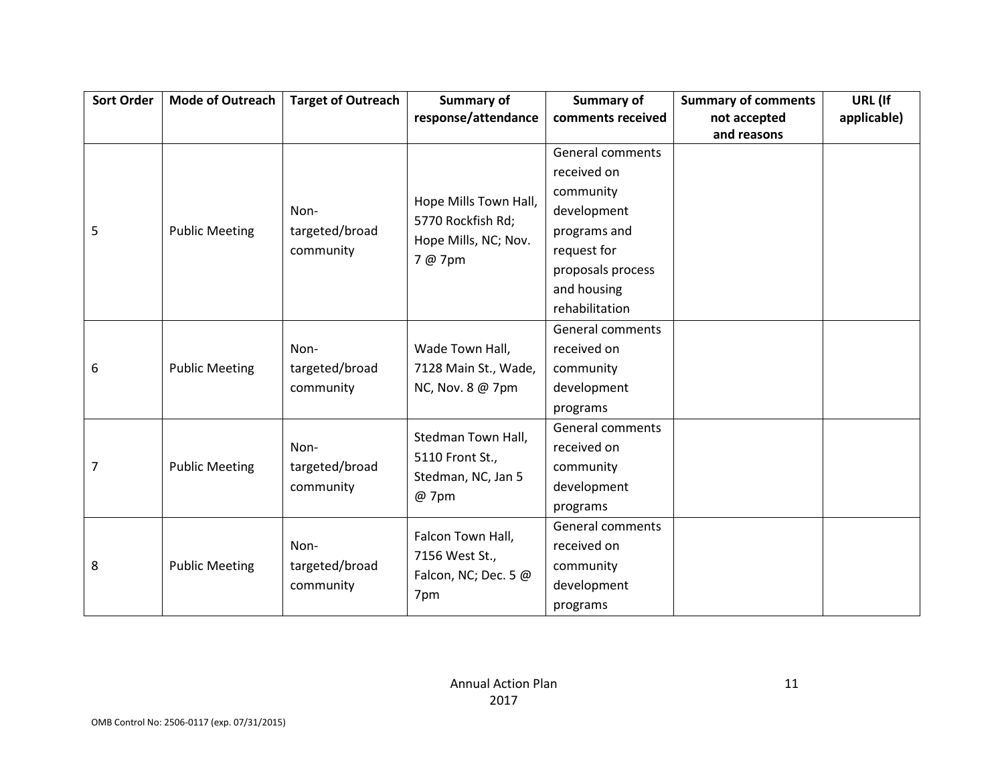| <b>Sort Order</b> | <b>Mode of Outreach</b> | <b>Target of Outreach</b> | Summary of            | Summary of              | <b>Summary of comments</b> | URL (If     |
|-------------------|-------------------------|---------------------------|-----------------------|-------------------------|----------------------------|-------------|
|                   |                         |                           | response/attendance   | comments received       | not accepted               | applicable) |
|                   |                         |                           |                       |                         | and reasons                |             |
|                   |                         |                           |                       | <b>General comments</b> |                            |             |
|                   |                         |                           |                       | received on             |                            |             |
|                   |                         |                           |                       | community               |                            |             |
|                   |                         | Non-                      | Hope Mills Town Hall, | development             |                            |             |
| 5                 | <b>Public Meeting</b>   | targeted/broad            | 5770 Rockfish Rd;     | programs and            |                            |             |
|                   |                         | community                 | Hope Mills, NC; Nov.  | request for             |                            |             |
|                   |                         |                           | 7 @ 7pm               | proposals process       |                            |             |
|                   |                         |                           |                       | and housing             |                            |             |
|                   |                         |                           |                       | rehabilitation          |                            |             |
|                   |                         |                           |                       | General comments        |                            |             |
|                   |                         | Non-                      | Wade Town Hall,       | received on             |                            |             |
| 6                 | <b>Public Meeting</b>   | targeted/broad            | 7128 Main St., Wade,  | community               |                            |             |
|                   |                         | community                 | NC, Nov. 8 @ 7pm      | development             |                            |             |
|                   |                         |                           |                       | programs                |                            |             |
|                   |                         |                           | Stedman Town Hall,    | General comments        |                            |             |
|                   |                         | Non-                      | 5110 Front St.,       | received on             |                            |             |
| 7                 | <b>Public Meeting</b>   | targeted/broad            |                       | community               |                            |             |
|                   |                         | community                 | Stedman, NC, Jan 5    | development             |                            |             |
|                   |                         |                           | @ 7pm                 | programs                |                            |             |
|                   |                         |                           | Falcon Town Hall,     | <b>General comments</b> |                            |             |
|                   |                         | Non-                      |                       | received on             |                            |             |
| 8                 | <b>Public Meeting</b>   | targeted/broad            | 7156 West St.,        | community               |                            |             |
|                   |                         | community                 | Falcon, NC; Dec. 5 @  | development             |                            |             |
|                   |                         |                           | 7pm                   | programs                |                            |             |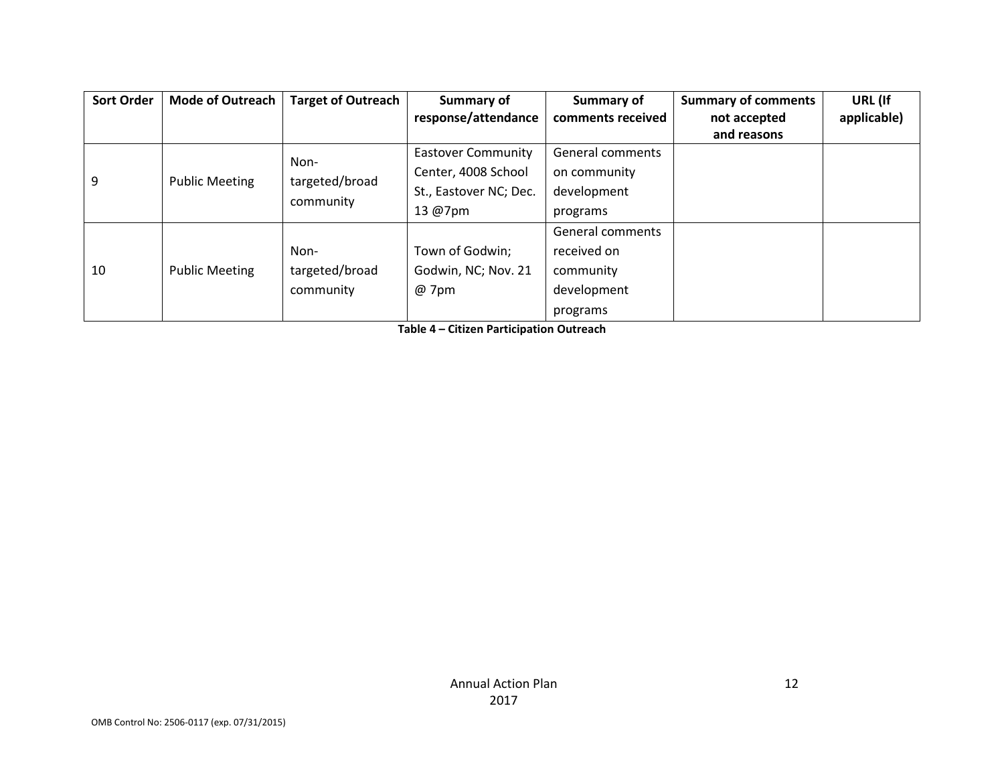| <b>Sort Order</b> | <b>Mode of Outreach</b> | <b>Target of Outreach</b> | Summary of                | Summary of        | <b>Summary of comments</b> | URL (If     |
|-------------------|-------------------------|---------------------------|---------------------------|-------------------|----------------------------|-------------|
|                   |                         |                           | response/attendance       | comments received | not accepted               | applicable) |
|                   |                         |                           |                           |                   | and reasons                |             |
|                   |                         | Non-                      | <b>Eastover Community</b> | General comments  |                            |             |
| 9                 | <b>Public Meeting</b>   | targeted/broad            | Center, 4008 School       | on community      |                            |             |
|                   |                         | community                 | St., Eastover NC; Dec.    | development       |                            |             |
|                   |                         |                           | 13 @7pm                   | programs          |                            |             |
|                   |                         |                           |                           | General comments  |                            |             |
|                   |                         | Non-                      | Town of Godwin;           | received on       |                            |             |
| 10                | <b>Public Meeting</b>   | targeted/broad            | Godwin, NC; Nov. 21       | community         |                            |             |
|                   |                         | community                 | @ 7pm                     | development       |                            |             |
|                   |                         |                           |                           | programs          |                            |             |

**Table 4 – Citizen Participation Outreach**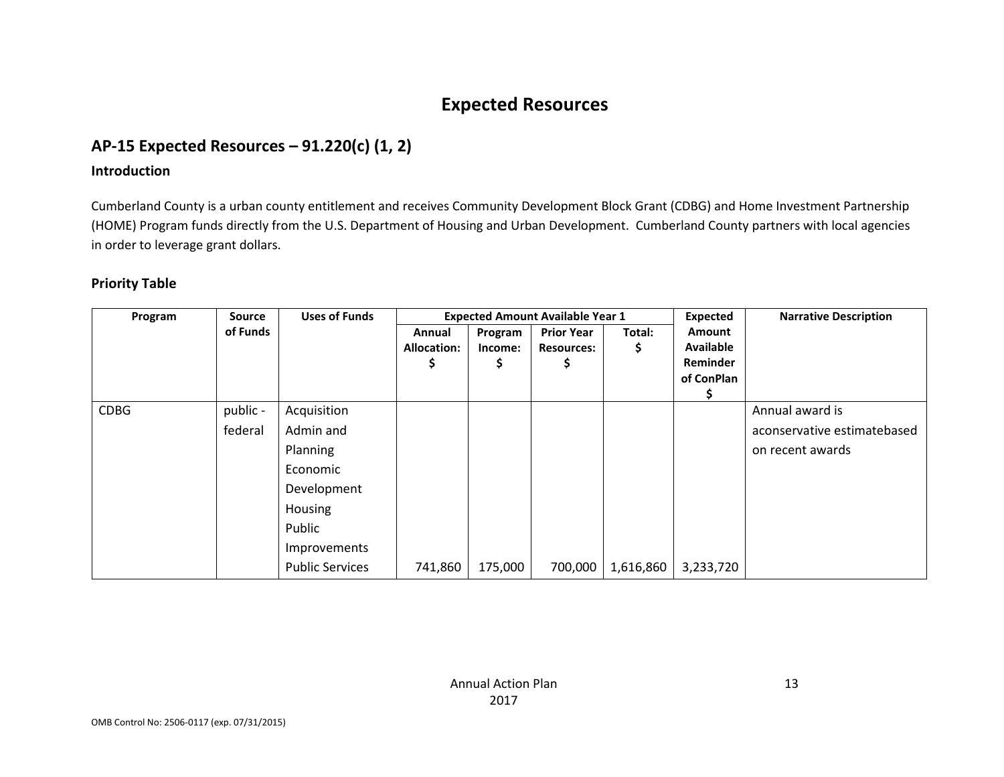# **Expected Resources**

## **AP-15 Expected Resources – 91.220(c) (1, 2)**

#### **Introduction**

Cumberland County is a urban county entitlement and receives Community Development Block Grant (CDBG) and Home Investment Partnership (HOME) Program funds directly from the U.S. Department of Housing and Urban Development. Cumberland County partners with local agencies in order to leverage grant dollars.

#### **Priority Table**

| Program     | <b>Source</b> | <b>Uses of Funds</b>   |                    |         | <b>Expected Amount Available Year 1</b> |           | Expected         | <b>Narrative Description</b> |
|-------------|---------------|------------------------|--------------------|---------|-----------------------------------------|-----------|------------------|------------------------------|
|             | of Funds      |                        | Annual             | Program | <b>Prior Year</b>                       | Total:    | <b>Amount</b>    |                              |
|             |               |                        | <b>Allocation:</b> | Income: | <b>Resources:</b>                       | \$        | <b>Available</b> |                              |
|             |               |                        | Ş                  | Ş       | Ş                                       |           | <b>Reminder</b>  |                              |
|             |               |                        |                    |         |                                         |           | of ConPlan       |                              |
|             |               |                        |                    |         |                                         |           |                  |                              |
| <b>CDBG</b> | public -      | Acquisition            |                    |         |                                         |           |                  | Annual award is              |
|             | federal       | Admin and              |                    |         |                                         |           |                  | aconservative estimatebased  |
|             |               | Planning               |                    |         |                                         |           |                  | on recent awards             |
|             |               | Economic               |                    |         |                                         |           |                  |                              |
|             |               | Development            |                    |         |                                         |           |                  |                              |
|             |               | Housing                |                    |         |                                         |           |                  |                              |
|             |               | Public                 |                    |         |                                         |           |                  |                              |
|             |               | Improvements           |                    |         |                                         |           |                  |                              |
|             |               | <b>Public Services</b> | 741,860            | 175,000 | 700,000                                 | 1,616,860 | 3,233,720        |                              |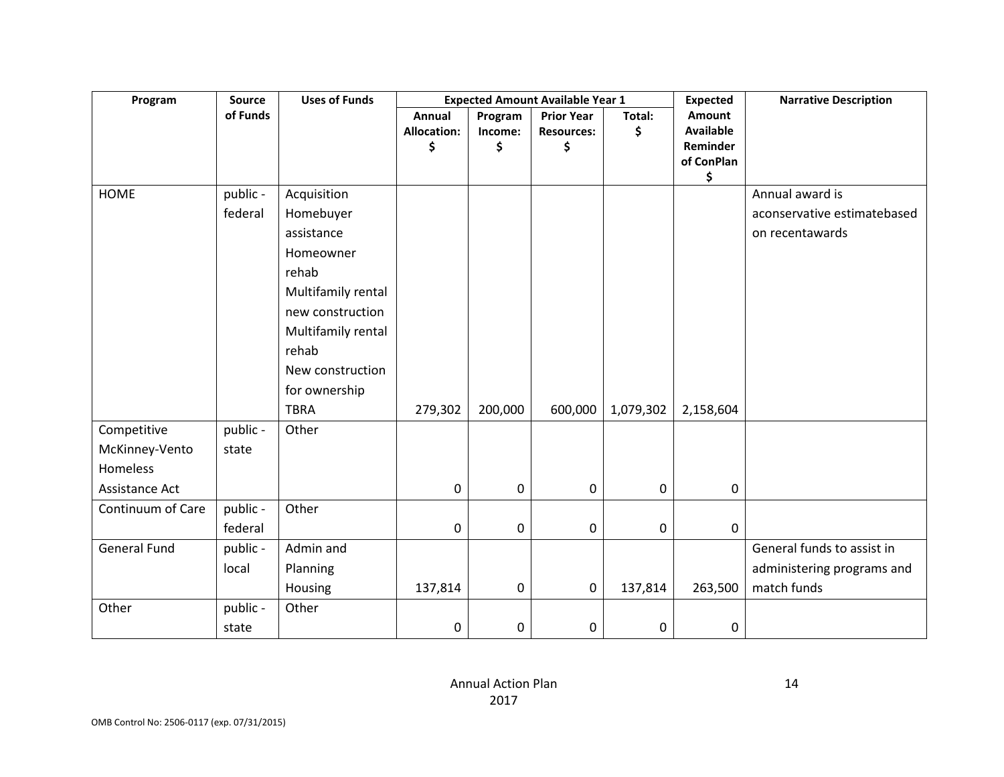| Program             | Source   | <b>Uses of Funds</b> |             |           | <b>Expected Amount Available Year 1</b> |           | <b>Expected</b>  | <b>Narrative Description</b> |
|---------------------|----------|----------------------|-------------|-----------|-----------------------------------------|-----------|------------------|------------------------------|
|                     | of Funds |                      | Annual      | Program   | <b>Prior Year</b>                       | Total:    | Amount           |                              |
|                     |          |                      | Allocation: | Income:   | <b>Resources:</b>                       | \$        | <b>Available</b> |                              |
|                     |          |                      | \$          | \$        | \$                                      |           | Reminder         |                              |
|                     |          |                      |             |           |                                         |           | of ConPlan<br>\$ |                              |
| <b>HOME</b>         | public - | Acquisition          |             |           |                                         |           |                  | Annual award is              |
|                     | federal  | Homebuyer            |             |           |                                         |           |                  | aconservative estimatebased  |
|                     |          | assistance           |             |           |                                         |           |                  | on recentawards              |
|                     |          | Homeowner            |             |           |                                         |           |                  |                              |
|                     |          | rehab                |             |           |                                         |           |                  |                              |
|                     |          | Multifamily rental   |             |           |                                         |           |                  |                              |
|                     |          | new construction     |             |           |                                         |           |                  |                              |
|                     |          | Multifamily rental   |             |           |                                         |           |                  |                              |
|                     |          | rehab                |             |           |                                         |           |                  |                              |
|                     |          | New construction     |             |           |                                         |           |                  |                              |
|                     |          | for ownership        |             |           |                                         |           |                  |                              |
|                     |          | <b>TBRA</b>          | 279,302     | 200,000   | 600,000                                 | 1,079,302 | 2,158,604        |                              |
| Competitive         | public - | Other                |             |           |                                         |           |                  |                              |
| McKinney-Vento      | state    |                      |             |           |                                         |           |                  |                              |
| Homeless            |          |                      |             |           |                                         |           |                  |                              |
| Assistance Act      |          |                      | 0           | 0         | $\mathbf 0$                             | 0         | 0                |                              |
| Continuum of Care   | public - | Other                |             |           |                                         |           |                  |                              |
|                     | federal  |                      | $\mathbf 0$ | 0         | $\pmb{0}$                               | 0         | $\mathbf 0$      |                              |
| <b>General Fund</b> | public - | Admin and            |             |           |                                         |           |                  | General funds to assist in   |
|                     | local    | Planning             |             |           |                                         |           |                  | administering programs and   |
|                     |          | Housing              | 137,814     | $\pmb{0}$ | 0                                       | 137,814   | 263,500          | match funds                  |
| Other               | public - | Other                |             |           |                                         |           |                  |                              |
|                     | state    |                      | 0           | 0         | $\mathbf 0$                             | 0         | 0                |                              |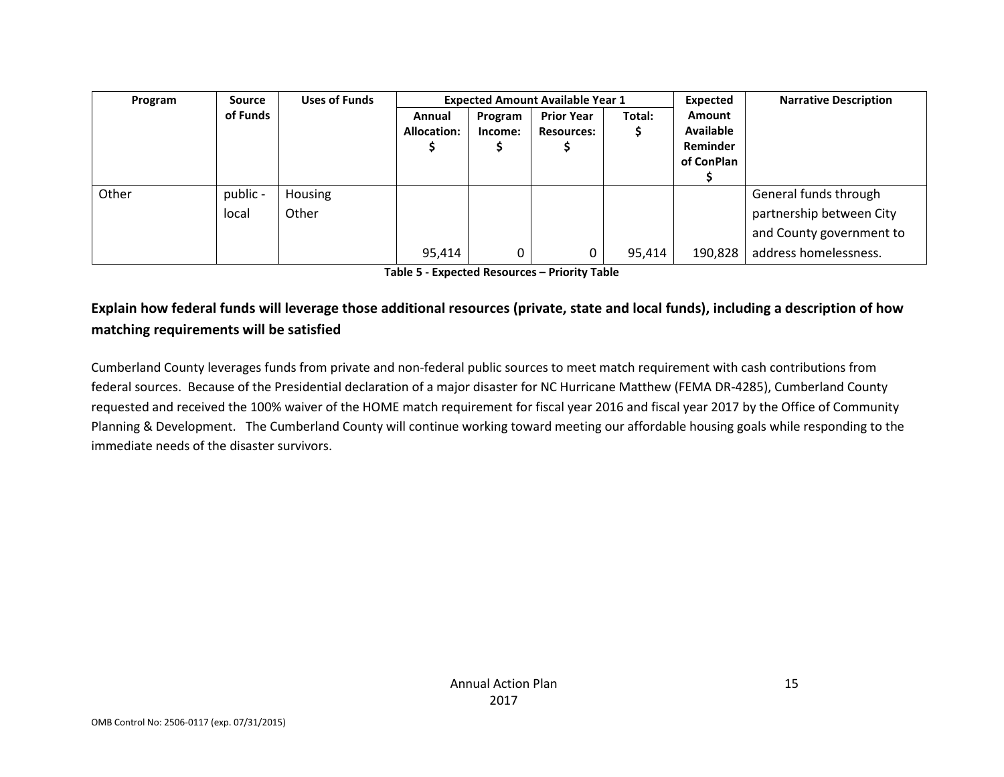| Program | Source   | <b>Uses of Funds</b> |             |         | <b>Expected Amount Available Year 1</b> | Expected | <b>Narrative Description</b> |                          |
|---------|----------|----------------------|-------------|---------|-----------------------------------------|----------|------------------------------|--------------------------|
|         | of Funds |                      | Annual      | Program | <b>Prior Year</b>                       | Total:   | Amount                       |                          |
|         |          |                      | Allocation: | Income: | <b>Resources:</b>                       |          | <b>Available</b>             |                          |
|         |          |                      |             |         |                                         |          | Reminder                     |                          |
|         |          |                      |             |         |                                         |          | of ConPlan                   |                          |
|         |          |                      |             |         |                                         |          |                              |                          |
| Other   | public - | Housing              |             |         |                                         |          |                              | General funds through    |
|         | local    | Other                |             |         |                                         |          |                              | partnership between City |
|         |          |                      |             |         |                                         |          |                              | and County government to |
|         |          |                      | 95,414      | 0       |                                         | 95,414   | 190,828                      | address homelessness.    |

**Table 5 - Expected Resources – Priority Table**

## **Explain how federal funds will leverage those additional resources (private, state and local funds), including a description of how matching requirements will be satisfied**

Cumberland County leverages funds from private and non-federal public sources to meet match requirement with cash contributions from federal sources. Because of the Presidential declaration of a major disaster for NC Hurricane Matthew (FEMA DR-4285), Cumberland County requested and received the 100% waiver of the HOME match requirement for fiscal year 2016 and fiscal year 2017 by the Office of Community Planning & Development. The Cumberland County will continue working toward meeting our affordable housing goals while responding to the immediate needs of the disaster survivors.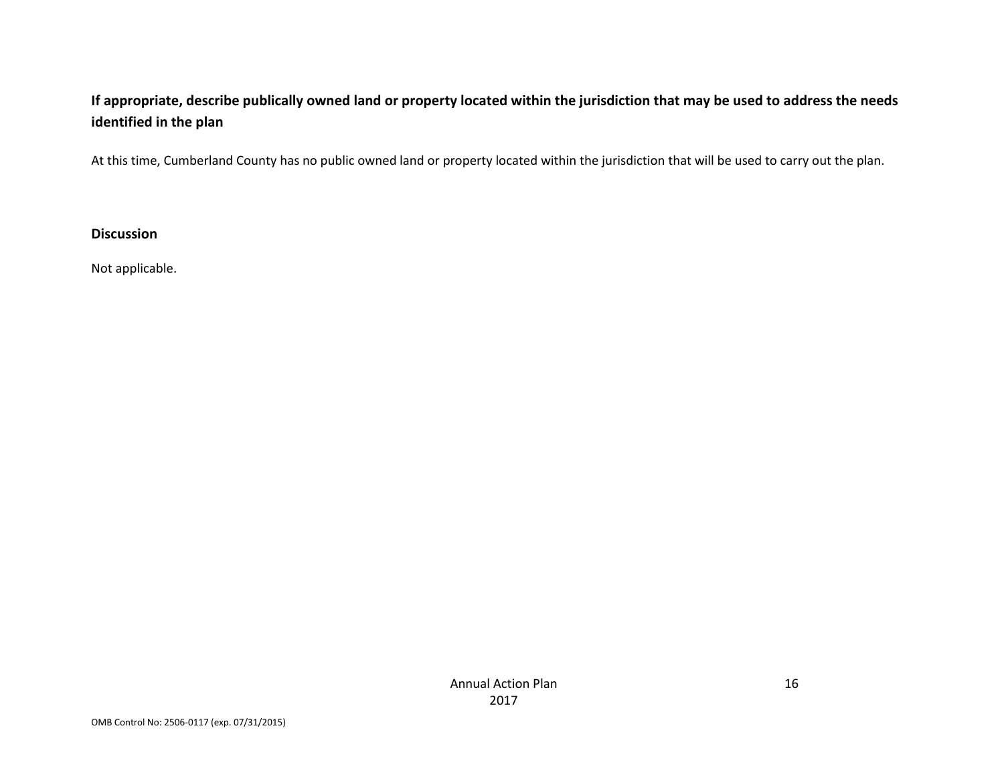## **If appropriate, describe publically owned land or property located within the jurisdiction that may be used to address the needs identified in the plan**

At this time, Cumberland County has no public owned land or property located within the jurisdiction that will be used to carry out the plan.

**Discussion**

Not applicable.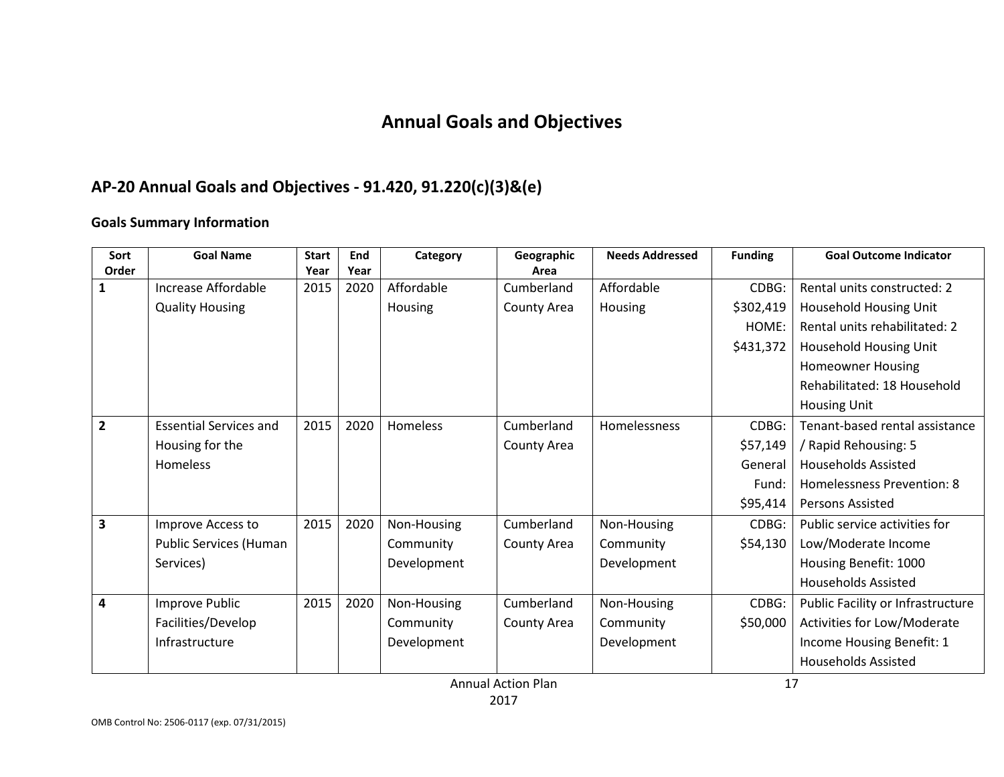# **Annual Goals and Objectives**

## **AP-20 Annual Goals and Objectives - 91.420, 91.220(c)(3)&(e)**

#### **Goals Summary Information**

| Sort<br>Order           | <b>Goal Name</b>              | <b>Start</b><br>Year | End<br>Year | Category    | Geographic<br>Area | <b>Needs Addressed</b> | <b>Funding</b> | <b>Goal Outcome Indicator</b>     |
|-------------------------|-------------------------------|----------------------|-------------|-------------|--------------------|------------------------|----------------|-----------------------------------|
| 1                       | Increase Affordable           | 2015                 | 2020        | Affordable  | Cumberland         | Affordable             | CDBG:          | Rental units constructed: 2       |
|                         | <b>Quality Housing</b>        |                      |             | Housing     | County Area        | Housing                | \$302,419      | Household Housing Unit            |
|                         |                               |                      |             |             |                    |                        | HOME:          | Rental units rehabilitated: 2     |
|                         |                               |                      |             |             |                    |                        | \$431,372      | Household Housing Unit            |
|                         |                               |                      |             |             |                    |                        |                | <b>Homeowner Housing</b>          |
|                         |                               |                      |             |             |                    |                        |                | Rehabilitated: 18 Household       |
|                         |                               |                      |             |             |                    |                        |                | <b>Housing Unit</b>               |
| $\overline{2}$          | <b>Essential Services and</b> | 2015                 | 2020        | Homeless    | Cumberland         | Homelessness           | CDBG:          | Tenant-based rental assistance    |
|                         | Housing for the               |                      |             |             | County Area        |                        | \$57,149       | / Rapid Rehousing: 5              |
|                         | Homeless                      |                      |             |             |                    |                        | General        | <b>Households Assisted</b>        |
|                         |                               |                      |             |             |                    |                        | Fund:          | Homelessness Prevention: 8        |
|                         |                               |                      |             |             |                    |                        | \$95,414       | <b>Persons Assisted</b>           |
| $\overline{\mathbf{3}}$ | Improve Access to             | 2015                 | 2020        | Non-Housing | Cumberland         | Non-Housing            | CDBG:          | Public service activities for     |
|                         | Public Services (Human        |                      |             | Community   | County Area        | Community              | \$54,130       | Low/Moderate Income               |
|                         | Services)                     |                      |             | Development |                    | Development            |                | Housing Benefit: 1000             |
|                         |                               |                      |             |             |                    |                        |                | <b>Households Assisted</b>        |
| 4                       | Improve Public                | 2015                 | 2020        | Non-Housing | Cumberland         | Non-Housing            | CDBG:          | Public Facility or Infrastructure |
|                         | Facilities/Develop            |                      |             | Community   | County Area        | Community              | \$50,000       | Activities for Low/Moderate       |
|                         | Infrastructure                |                      |             | Development |                    | Development            |                | Income Housing Benefit: 1         |
|                         |                               |                      |             |             |                    |                        |                | <b>Households Assisted</b>        |

Annual Action Plan 2017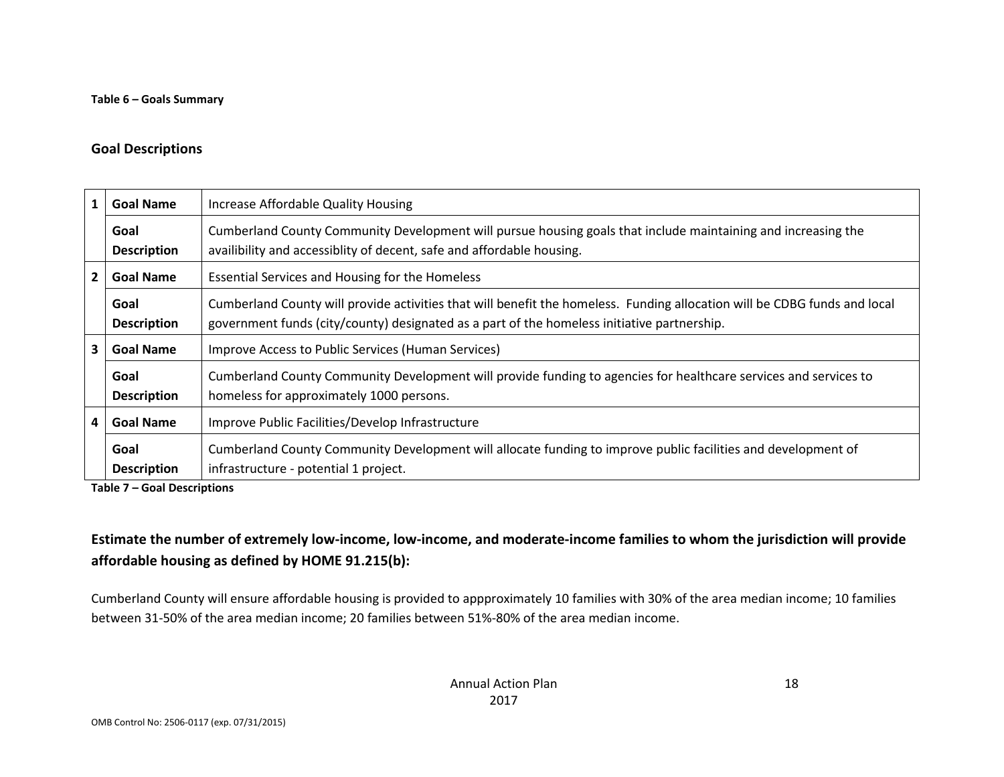#### **Goal Descriptions**

| 1              | <b>Goal Name</b>                                                    | Increase Affordable Quality Housing                                                                                                                                                                                      |  |
|----------------|---------------------------------------------------------------------|--------------------------------------------------------------------------------------------------------------------------------------------------------------------------------------------------------------------------|--|
|                | Goal<br><b>Description</b>                                          | Cumberland County Community Development will pursue housing goals that include maintaining and increasing the<br>availibility and accessiblity of decent, safe and affordable housing.                                   |  |
| $\overline{2}$ | Essential Services and Housing for the Homeless<br><b>Goal Name</b> |                                                                                                                                                                                                                          |  |
|                | Goal<br><b>Description</b>                                          | Cumberland County will provide activities that will benefit the homeless. Funding allocation will be CDBG funds and local<br>government funds (city/county) designated as a part of the homeless initiative partnership. |  |
| 3              | <b>Goal Name</b>                                                    | Improve Access to Public Services (Human Services)                                                                                                                                                                       |  |
|                | Goal<br><b>Description</b>                                          | Cumberland County Community Development will provide funding to agencies for healthcare services and services to<br>homeless for approximately 1000 persons.                                                             |  |
| 4              | <b>Goal Name</b>                                                    | Improve Public Facilities/Develop Infrastructure                                                                                                                                                                         |  |
|                | Goal<br><b>Description</b>                                          | Cumberland County Community Development will allocate funding to improve public facilities and development of<br>infrastructure - potential 1 project.                                                                   |  |

**Table 7 – Goal Descriptions**

## **Estimate the number of extremely low-income, low-income, and moderate-income families to whom the jurisdiction will provide affordable housing as defined by HOME 91.215(b):**

Cumberland County will ensure affordable housing is provided to appproximately 10 families with 30% of the area median income; 10 families between 31-50% of the area median income; 20 families between 51%-80% of the area median income.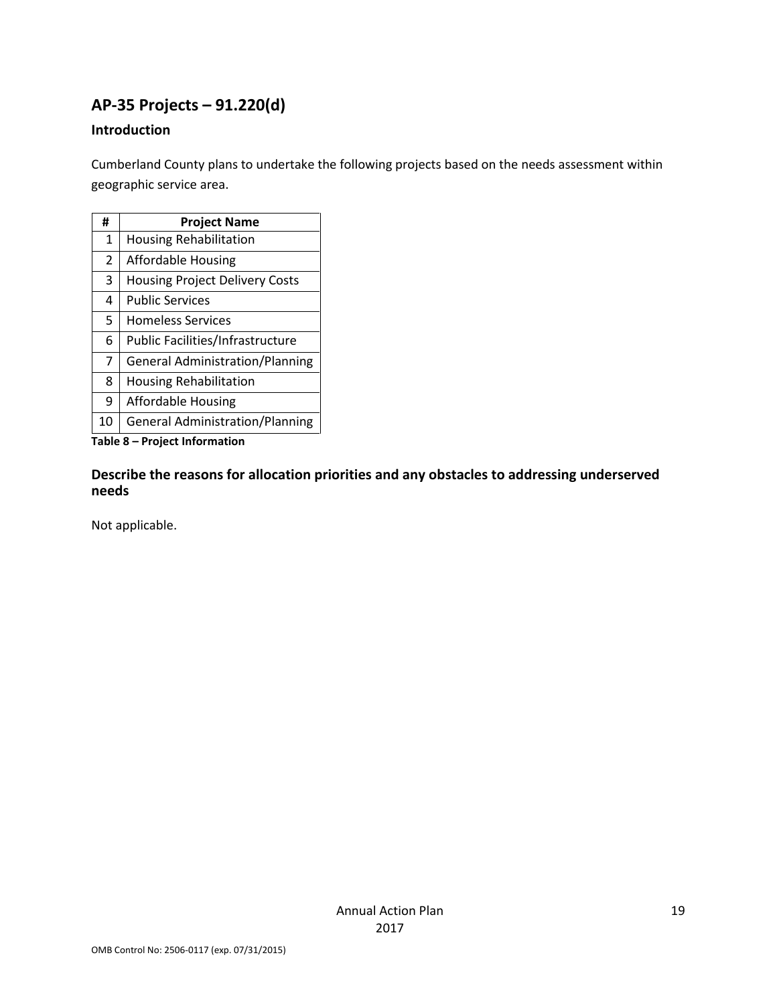## **AP-35 Projects – 91.220(d)**

## **Introduction**

Cumberland County plans to undertake the following projects based on the needs assessment within geographic service area.

| #  | <b>Project Name</b>                    |
|----|----------------------------------------|
| 1  | <b>Housing Rehabilitation</b>          |
| 2  | <b>Affordable Housing</b>              |
| 3  | <b>Housing Project Delivery Costs</b>  |
| 4  | <b>Public Services</b>                 |
| 5  | <b>Homeless Services</b>               |
| 6  | Public Facilities/Infrastructure       |
| 7  | <b>General Administration/Planning</b> |
| 8  | <b>Housing Rehabilitation</b>          |
| 9  | Affordable Housing                     |
| 10 | <b>General Administration/Planning</b> |

**Table 8 – Project Information**

**Describe the reasons for allocation priorities and any obstacles to addressing underserved needs**

Not applicable.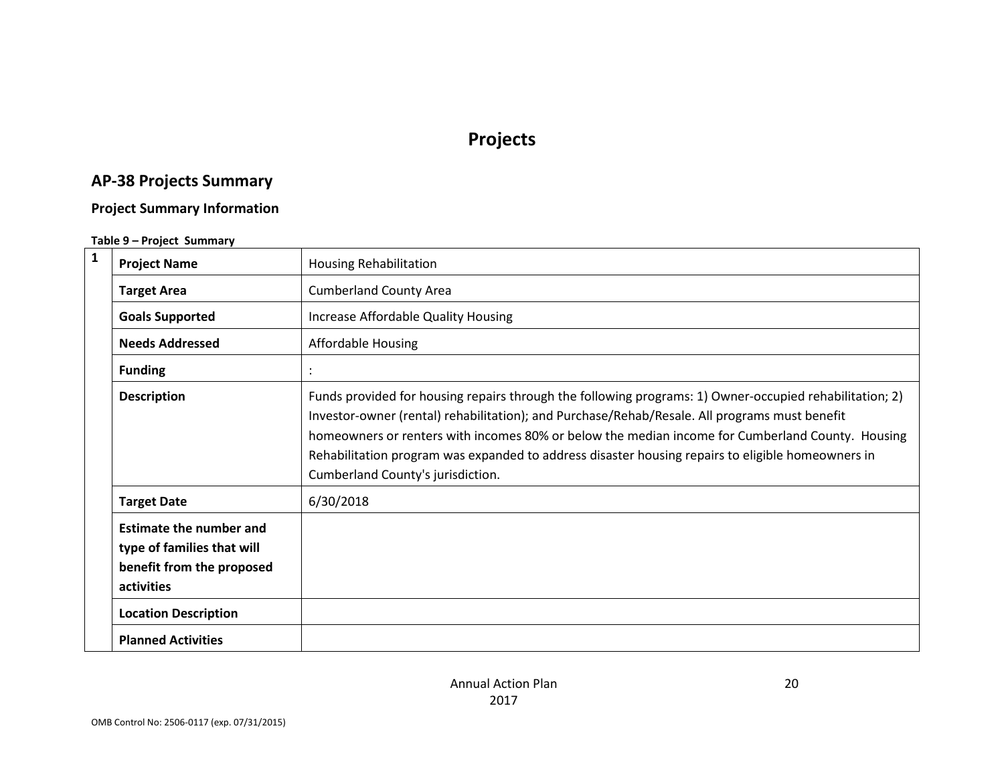# **Projects**

# **AP-38 Projects Summary**

## **Project Summary Information**

#### **Table 9 – Project Summary**

| $\mathbf 1$ | <b>Project Name</b>                                                                                     | <b>Housing Rehabilitation</b>                                                                                                                                                                                                                                                                                                                                                                                                                          |
|-------------|---------------------------------------------------------------------------------------------------------|--------------------------------------------------------------------------------------------------------------------------------------------------------------------------------------------------------------------------------------------------------------------------------------------------------------------------------------------------------------------------------------------------------------------------------------------------------|
|             | <b>Target Area</b>                                                                                      | <b>Cumberland County Area</b>                                                                                                                                                                                                                                                                                                                                                                                                                          |
|             | <b>Goals Supported</b>                                                                                  | Increase Affordable Quality Housing                                                                                                                                                                                                                                                                                                                                                                                                                    |
|             | <b>Needs Addressed</b>                                                                                  | Affordable Housing                                                                                                                                                                                                                                                                                                                                                                                                                                     |
|             | <b>Funding</b>                                                                                          |                                                                                                                                                                                                                                                                                                                                                                                                                                                        |
|             | <b>Description</b>                                                                                      | Funds provided for housing repairs through the following programs: 1) Owner-occupied rehabilitation; 2)<br>Investor-owner (rental) rehabilitation); and Purchase/Rehab/Resale. All programs must benefit<br>homeowners or renters with incomes 80% or below the median income for Cumberland County. Housing<br>Rehabilitation program was expanded to address disaster housing repairs to eligible homeowners in<br>Cumberland County's jurisdiction. |
|             | <b>Target Date</b>                                                                                      | 6/30/2018                                                                                                                                                                                                                                                                                                                                                                                                                                              |
|             | <b>Estimate the number and</b><br>type of families that will<br>benefit from the proposed<br>activities |                                                                                                                                                                                                                                                                                                                                                                                                                                                        |
|             | <b>Location Description</b>                                                                             |                                                                                                                                                                                                                                                                                                                                                                                                                                                        |
|             | <b>Planned Activities</b>                                                                               |                                                                                                                                                                                                                                                                                                                                                                                                                                                        |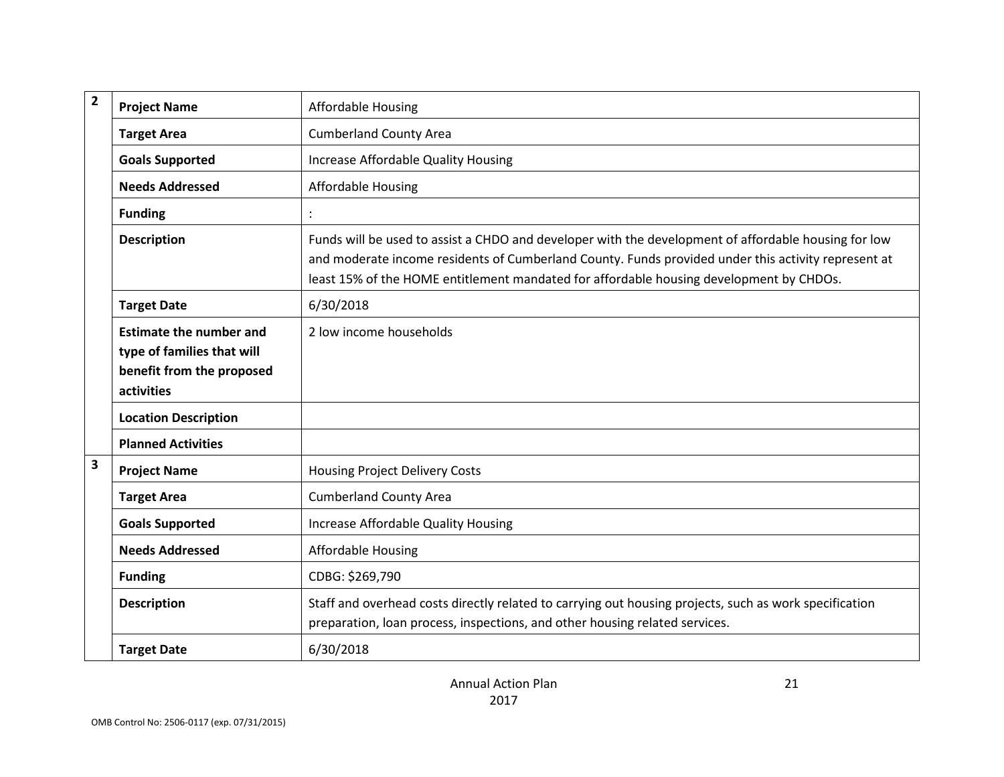| $\overline{2}$          | <b>Project Name</b>                                                                                     | <b>Affordable Housing</b>                                                                                                                                                                                                                                                                              |
|-------------------------|---------------------------------------------------------------------------------------------------------|--------------------------------------------------------------------------------------------------------------------------------------------------------------------------------------------------------------------------------------------------------------------------------------------------------|
|                         | <b>Target Area</b>                                                                                      | <b>Cumberland County Area</b>                                                                                                                                                                                                                                                                          |
|                         | <b>Goals Supported</b>                                                                                  | Increase Affordable Quality Housing                                                                                                                                                                                                                                                                    |
|                         | <b>Needs Addressed</b>                                                                                  | <b>Affordable Housing</b>                                                                                                                                                                                                                                                                              |
|                         | <b>Funding</b>                                                                                          |                                                                                                                                                                                                                                                                                                        |
|                         | <b>Description</b>                                                                                      | Funds will be used to assist a CHDO and developer with the development of affordable housing for low<br>and moderate income residents of Cumberland County. Funds provided under this activity represent at<br>least 15% of the HOME entitlement mandated for affordable housing development by CHDOs. |
|                         | <b>Target Date</b>                                                                                      | 6/30/2018                                                                                                                                                                                                                                                                                              |
|                         | <b>Estimate the number and</b><br>type of families that will<br>benefit from the proposed<br>activities | 2 low income households                                                                                                                                                                                                                                                                                |
|                         | <b>Location Description</b>                                                                             |                                                                                                                                                                                                                                                                                                        |
|                         | <b>Planned Activities</b>                                                                               |                                                                                                                                                                                                                                                                                                        |
| $\overline{\mathbf{3}}$ | <b>Project Name</b>                                                                                     | <b>Housing Project Delivery Costs</b>                                                                                                                                                                                                                                                                  |
|                         | <b>Target Area</b>                                                                                      | <b>Cumberland County Area</b>                                                                                                                                                                                                                                                                          |
|                         | <b>Goals Supported</b>                                                                                  | Increase Affordable Quality Housing                                                                                                                                                                                                                                                                    |
|                         | <b>Needs Addressed</b>                                                                                  | <b>Affordable Housing</b>                                                                                                                                                                                                                                                                              |
|                         | <b>Funding</b>                                                                                          | CDBG: \$269,790                                                                                                                                                                                                                                                                                        |
|                         | <b>Description</b>                                                                                      | Staff and overhead costs directly related to carrying out housing projects, such as work specification<br>preparation, loan process, inspections, and other housing related services.                                                                                                                  |
|                         | <b>Target Date</b>                                                                                      | 6/30/2018                                                                                                                                                                                                                                                                                              |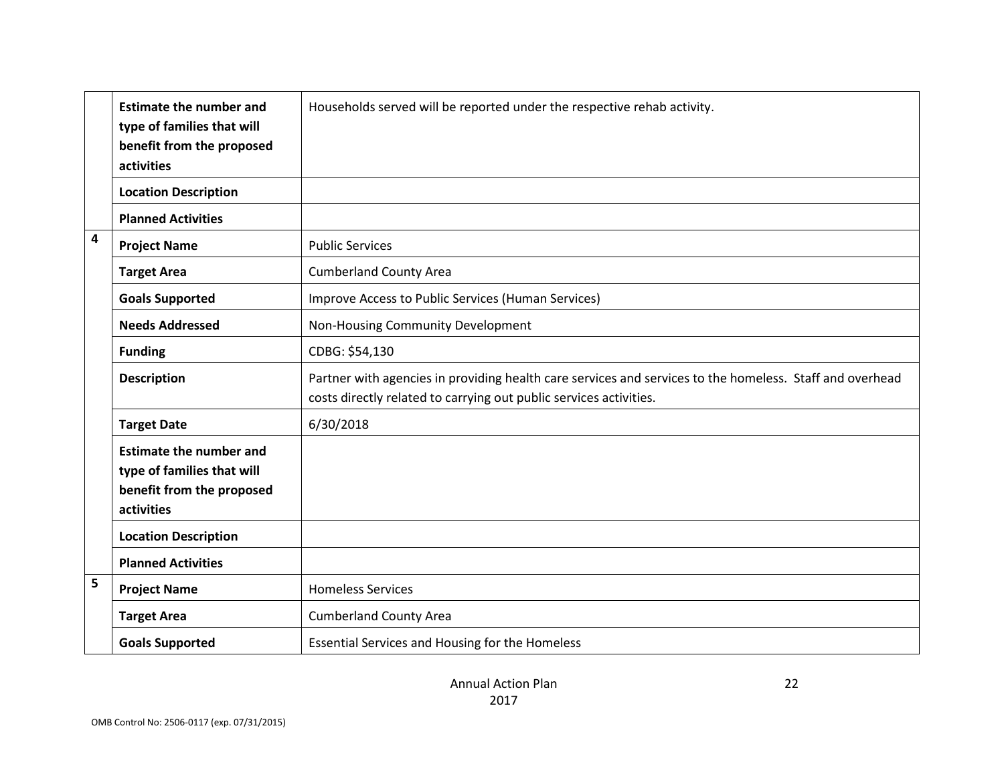|                         | <b>Estimate the number and</b><br>type of families that will<br>benefit from the proposed<br>activities | Households served will be reported under the respective rehab activity.                                                                                                        |
|-------------------------|---------------------------------------------------------------------------------------------------------|--------------------------------------------------------------------------------------------------------------------------------------------------------------------------------|
|                         | <b>Location Description</b>                                                                             |                                                                                                                                                                                |
|                         | <b>Planned Activities</b>                                                                               |                                                                                                                                                                                |
| $\overline{\mathbf{4}}$ | <b>Project Name</b>                                                                                     | <b>Public Services</b>                                                                                                                                                         |
|                         | <b>Target Area</b>                                                                                      | <b>Cumberland County Area</b>                                                                                                                                                  |
|                         | <b>Goals Supported</b>                                                                                  | Improve Access to Public Services (Human Services)                                                                                                                             |
|                         | <b>Needs Addressed</b><br>Non-Housing Community Development                                             |                                                                                                                                                                                |
|                         | <b>Funding</b>                                                                                          | CDBG: \$54,130                                                                                                                                                                 |
|                         | <b>Description</b>                                                                                      | Partner with agencies in providing health care services and services to the homeless. Staff and overhead<br>costs directly related to carrying out public services activities. |
|                         | <b>Target Date</b>                                                                                      | 6/30/2018                                                                                                                                                                      |
|                         | <b>Estimate the number and</b><br>type of families that will<br>benefit from the proposed<br>activities |                                                                                                                                                                                |
|                         | <b>Location Description</b>                                                                             |                                                                                                                                                                                |
|                         | <b>Planned Activities</b>                                                                               |                                                                                                                                                                                |
| 5                       | <b>Project Name</b>                                                                                     | <b>Homeless Services</b>                                                                                                                                                       |
|                         | <b>Target Area</b>                                                                                      | <b>Cumberland County Area</b>                                                                                                                                                  |
|                         | <b>Goals Supported</b>                                                                                  | Essential Services and Housing for the Homeless                                                                                                                                |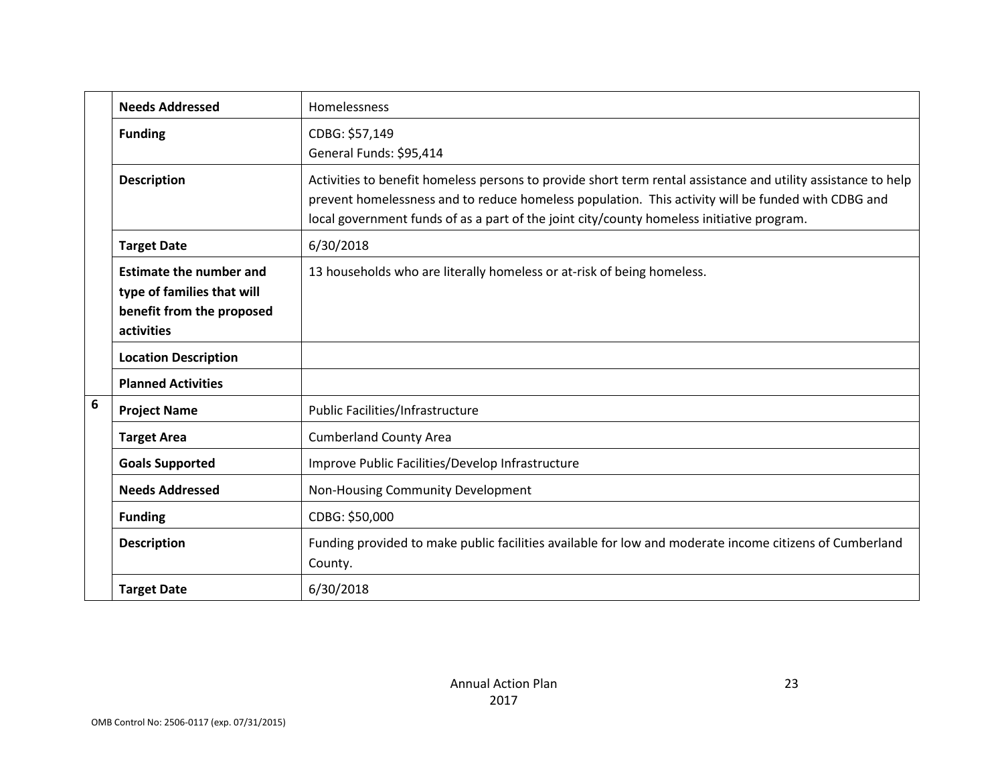|                 | <b>Needs Addressed</b>                                                                                  | Homelessness                                                                                                                                                                                                                                                                                                     |
|-----------------|---------------------------------------------------------------------------------------------------------|------------------------------------------------------------------------------------------------------------------------------------------------------------------------------------------------------------------------------------------------------------------------------------------------------------------|
|                 | <b>Funding</b>                                                                                          | CDBG: \$57,149                                                                                                                                                                                                                                                                                                   |
|                 |                                                                                                         | General Funds: \$95,414                                                                                                                                                                                                                                                                                          |
|                 | <b>Description</b>                                                                                      | Activities to benefit homeless persons to provide short term rental assistance and utility assistance to help<br>prevent homelessness and to reduce homeless population. This activity will be funded with CDBG and<br>local government funds of as a part of the joint city/county homeless initiative program. |
|                 | <b>Target Date</b>                                                                                      | 6/30/2018                                                                                                                                                                                                                                                                                                        |
|                 | <b>Estimate the number and</b><br>type of families that will<br>benefit from the proposed<br>activities | 13 households who are literally homeless or at-risk of being homeless.                                                                                                                                                                                                                                           |
|                 | <b>Location Description</b>                                                                             |                                                                                                                                                                                                                                                                                                                  |
|                 | <b>Planned Activities</b>                                                                               |                                                                                                                                                                                                                                                                                                                  |
| $6\phantom{1}6$ | <b>Project Name</b>                                                                                     | Public Facilities/Infrastructure                                                                                                                                                                                                                                                                                 |
|                 | <b>Target Area</b>                                                                                      | <b>Cumberland County Area</b>                                                                                                                                                                                                                                                                                    |
|                 | <b>Goals Supported</b>                                                                                  | Improve Public Facilities/Develop Infrastructure                                                                                                                                                                                                                                                                 |
|                 | <b>Needs Addressed</b>                                                                                  | Non-Housing Community Development                                                                                                                                                                                                                                                                                |
|                 | <b>Funding</b>                                                                                          | CDBG: \$50,000                                                                                                                                                                                                                                                                                                   |
|                 | <b>Description</b>                                                                                      | Funding provided to make public facilities available for low and moderate income citizens of Cumberland<br>County.                                                                                                                                                                                               |
|                 | <b>Target Date</b>                                                                                      | 6/30/2018                                                                                                                                                                                                                                                                                                        |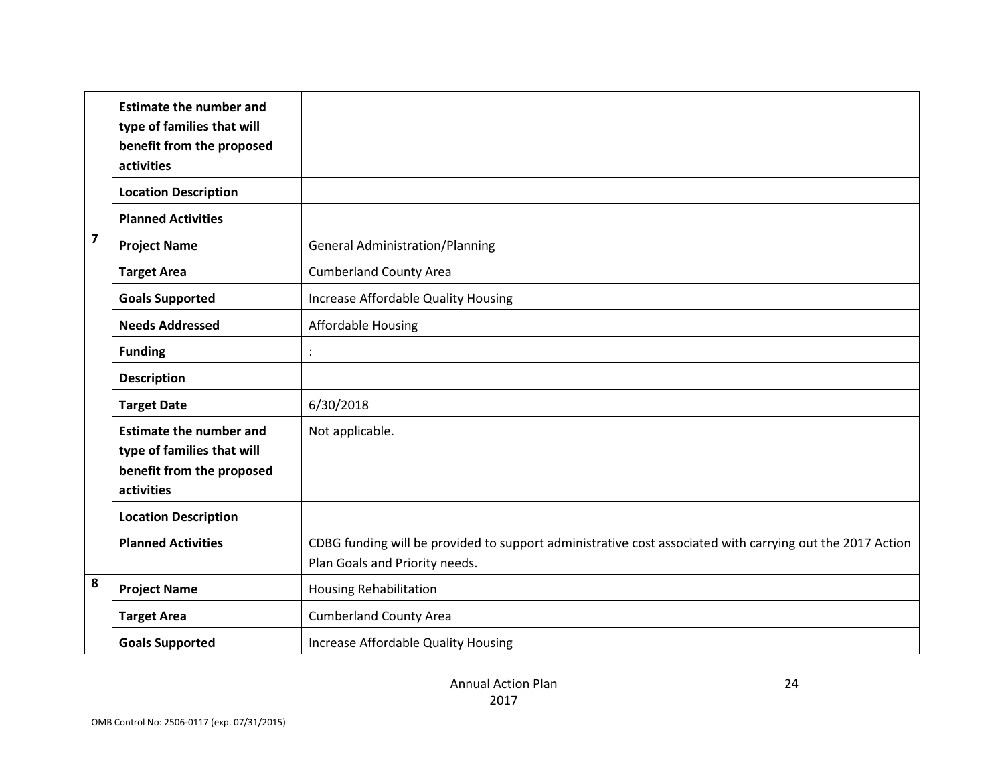|                         | <b>Estimate the number and</b><br>type of families that will<br>benefit from the proposed<br>activities |                                                                                                                                             |
|-------------------------|---------------------------------------------------------------------------------------------------------|---------------------------------------------------------------------------------------------------------------------------------------------|
|                         | <b>Location Description</b>                                                                             |                                                                                                                                             |
|                         | <b>Planned Activities</b>                                                                               |                                                                                                                                             |
| $\overline{\mathbf{z}}$ | <b>Project Name</b>                                                                                     | <b>General Administration/Planning</b>                                                                                                      |
|                         | <b>Target Area</b>                                                                                      | <b>Cumberland County Area</b>                                                                                                               |
|                         | <b>Goals Supported</b>                                                                                  | Increase Affordable Quality Housing                                                                                                         |
|                         | <b>Needs Addressed</b>                                                                                  | Affordable Housing                                                                                                                          |
|                         | <b>Funding</b>                                                                                          | $\ddot{\cdot}$                                                                                                                              |
|                         | <b>Description</b>                                                                                      |                                                                                                                                             |
|                         | <b>Target Date</b>                                                                                      | 6/30/2018                                                                                                                                   |
|                         | <b>Estimate the number and</b><br>type of families that will<br>benefit from the proposed<br>activities | Not applicable.                                                                                                                             |
|                         | <b>Location Description</b>                                                                             |                                                                                                                                             |
|                         | <b>Planned Activities</b>                                                                               | CDBG funding will be provided to support administrative cost associated with carrying out the 2017 Action<br>Plan Goals and Priority needs. |
| 8                       | <b>Project Name</b>                                                                                     | <b>Housing Rehabilitation</b>                                                                                                               |
|                         | <b>Target Area</b>                                                                                      | <b>Cumberland County Area</b>                                                                                                               |
|                         | <b>Goals Supported</b>                                                                                  | Increase Affordable Quality Housing                                                                                                         |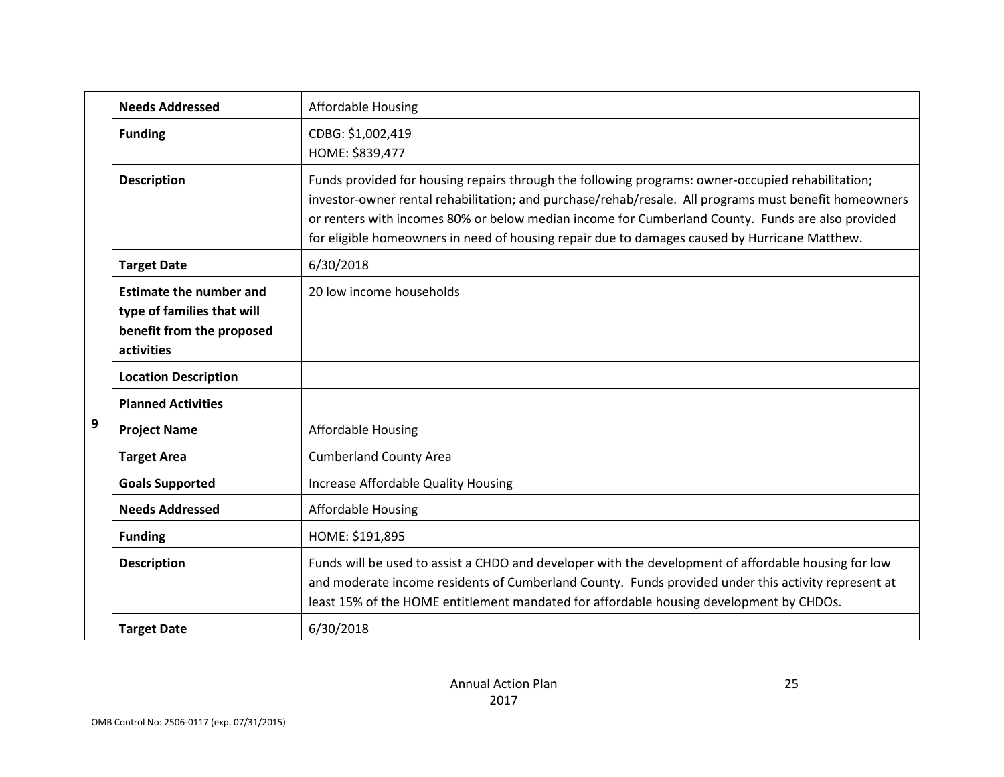|                                                                                                                                     | <b>Needs Addressed</b>      | <b>Affordable Housing</b>                                                                                                                                                                                                                                                                                                                                                                                        |
|-------------------------------------------------------------------------------------------------------------------------------------|-----------------------------|------------------------------------------------------------------------------------------------------------------------------------------------------------------------------------------------------------------------------------------------------------------------------------------------------------------------------------------------------------------------------------------------------------------|
| CDBG: \$1,002,419<br><b>Funding</b><br>HOME: \$839,477<br><b>Description</b>                                                        |                             |                                                                                                                                                                                                                                                                                                                                                                                                                  |
|                                                                                                                                     |                             | Funds provided for housing repairs through the following programs: owner-occupied rehabilitation;<br>investor-owner rental rehabilitation; and purchase/rehab/resale. All programs must benefit homeowners<br>or renters with incomes 80% or below median income for Cumberland County. Funds are also provided<br>for eligible homeowners in need of housing repair due to damages caused by Hurricane Matthew. |
|                                                                                                                                     | <b>Target Date</b>          | 6/30/2018                                                                                                                                                                                                                                                                                                                                                                                                        |
| <b>Estimate the number and</b><br>20 low income households<br>type of families that will<br>benefit from the proposed<br>activities |                             |                                                                                                                                                                                                                                                                                                                                                                                                                  |
|                                                                                                                                     | <b>Location Description</b> |                                                                                                                                                                                                                                                                                                                                                                                                                  |
|                                                                                                                                     | <b>Planned Activities</b>   |                                                                                                                                                                                                                                                                                                                                                                                                                  |
| 9                                                                                                                                   | <b>Project Name</b>         | Affordable Housing                                                                                                                                                                                                                                                                                                                                                                                               |
|                                                                                                                                     | <b>Target Area</b>          | <b>Cumberland County Area</b>                                                                                                                                                                                                                                                                                                                                                                                    |
|                                                                                                                                     | <b>Goals Supported</b>      | Increase Affordable Quality Housing                                                                                                                                                                                                                                                                                                                                                                              |
|                                                                                                                                     | <b>Needs Addressed</b>      | <b>Affordable Housing</b>                                                                                                                                                                                                                                                                                                                                                                                        |
|                                                                                                                                     | <b>Funding</b>              | HOME: \$191,895                                                                                                                                                                                                                                                                                                                                                                                                  |
|                                                                                                                                     | <b>Description</b>          | Funds will be used to assist a CHDO and developer with the development of affordable housing for low<br>and moderate income residents of Cumberland County. Funds provided under this activity represent at<br>least 15% of the HOME entitlement mandated for affordable housing development by CHDOs.                                                                                                           |
|                                                                                                                                     | <b>Target Date</b>          | 6/30/2018                                                                                                                                                                                                                                                                                                                                                                                                        |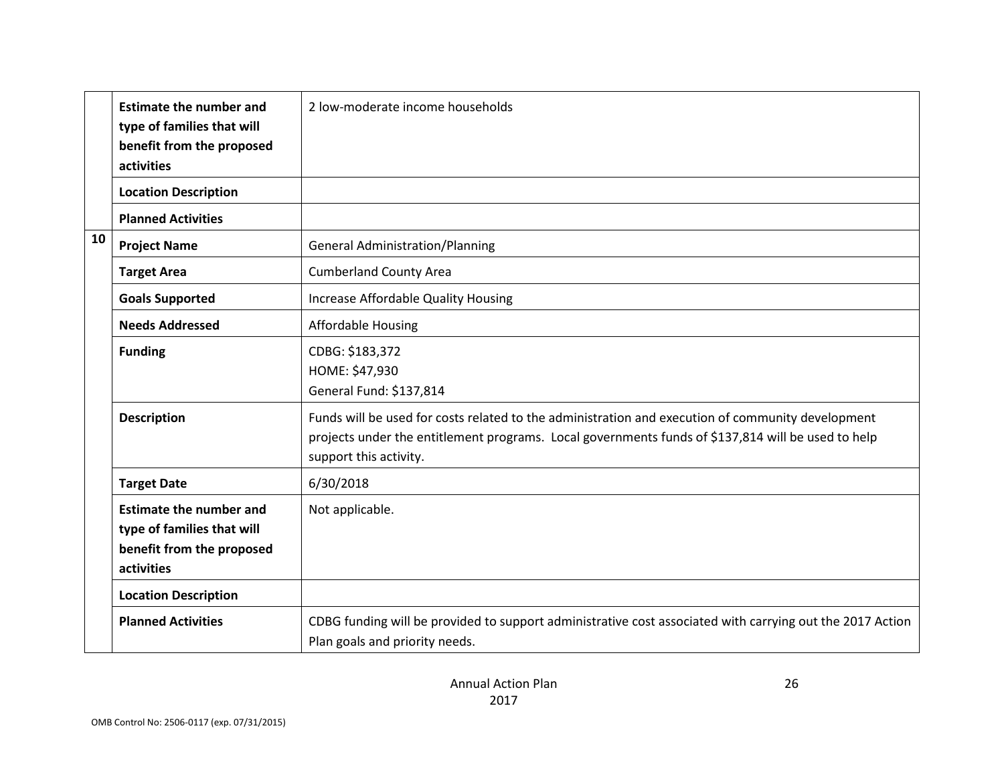|    | <b>Estimate the number and</b><br>type of families that will<br>benefit from the proposed<br>activities | 2 low-moderate income households                                                                                                                                                                                                  |
|----|---------------------------------------------------------------------------------------------------------|-----------------------------------------------------------------------------------------------------------------------------------------------------------------------------------------------------------------------------------|
|    | <b>Location Description</b>                                                                             |                                                                                                                                                                                                                                   |
|    | <b>Planned Activities</b>                                                                               |                                                                                                                                                                                                                                   |
| 10 | <b>Project Name</b>                                                                                     | <b>General Administration/Planning</b>                                                                                                                                                                                            |
|    | <b>Target Area</b>                                                                                      | <b>Cumberland County Area</b>                                                                                                                                                                                                     |
|    | <b>Goals Supported</b>                                                                                  | Increase Affordable Quality Housing                                                                                                                                                                                               |
|    | <b>Needs Addressed</b>                                                                                  | <b>Affordable Housing</b>                                                                                                                                                                                                         |
|    | <b>Funding</b>                                                                                          | CDBG: \$183,372<br>HOME: \$47,930<br>General Fund: \$137,814                                                                                                                                                                      |
|    | <b>Description</b>                                                                                      | Funds will be used for costs related to the administration and execution of community development<br>projects under the entitlement programs. Local governments funds of \$137,814 will be used to help<br>support this activity. |
|    | <b>Target Date</b>                                                                                      | 6/30/2018                                                                                                                                                                                                                         |
|    | <b>Estimate the number and</b><br>type of families that will<br>benefit from the proposed<br>activities | Not applicable.                                                                                                                                                                                                                   |
|    | <b>Location Description</b>                                                                             |                                                                                                                                                                                                                                   |
|    | <b>Planned Activities</b>                                                                               | CDBG funding will be provided to support administrative cost associated with carrying out the 2017 Action<br>Plan goals and priority needs.                                                                                       |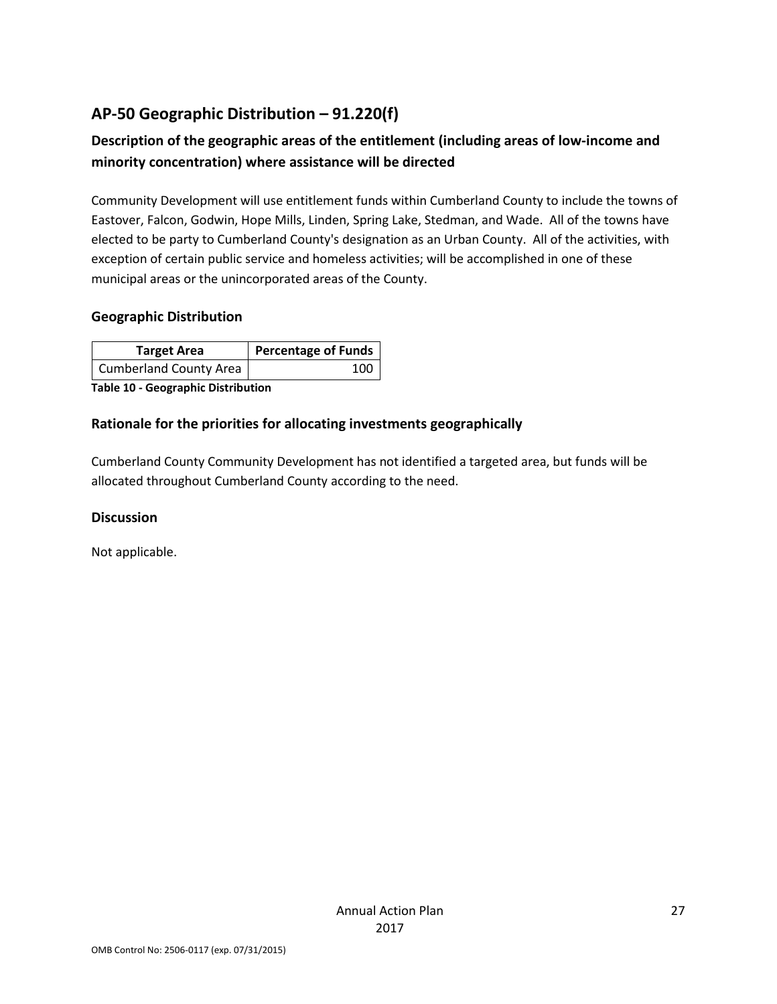## **AP-50 Geographic Distribution – 91.220(f)**

## **Description of the geographic areas of the entitlement (including areas of low-income and minority concentration) where assistance will be directed**

Community Development will use entitlement funds within Cumberland County to include the towns of Eastover, Falcon, Godwin, Hope Mills, Linden, Spring Lake, Stedman, and Wade. All of the towns have elected to be party to Cumberland County's designation as an Urban County. All of the activities, with exception of certain public service and homeless activities; will be accomplished in one of these municipal areas or the unincorporated areas of the County.

#### **Geographic Distribution**

| <b>Target Area</b>     | Percentage of Funds |
|------------------------|---------------------|
| Cumberland County Area | 100                 |

**Table 10 - Geographic Distribution** 

#### **Rationale for the priorities for allocating investments geographically**

Cumberland County Community Development has not identified a targeted area, but funds will be allocated throughout Cumberland County according to the need.

#### **Discussion**

Not applicable.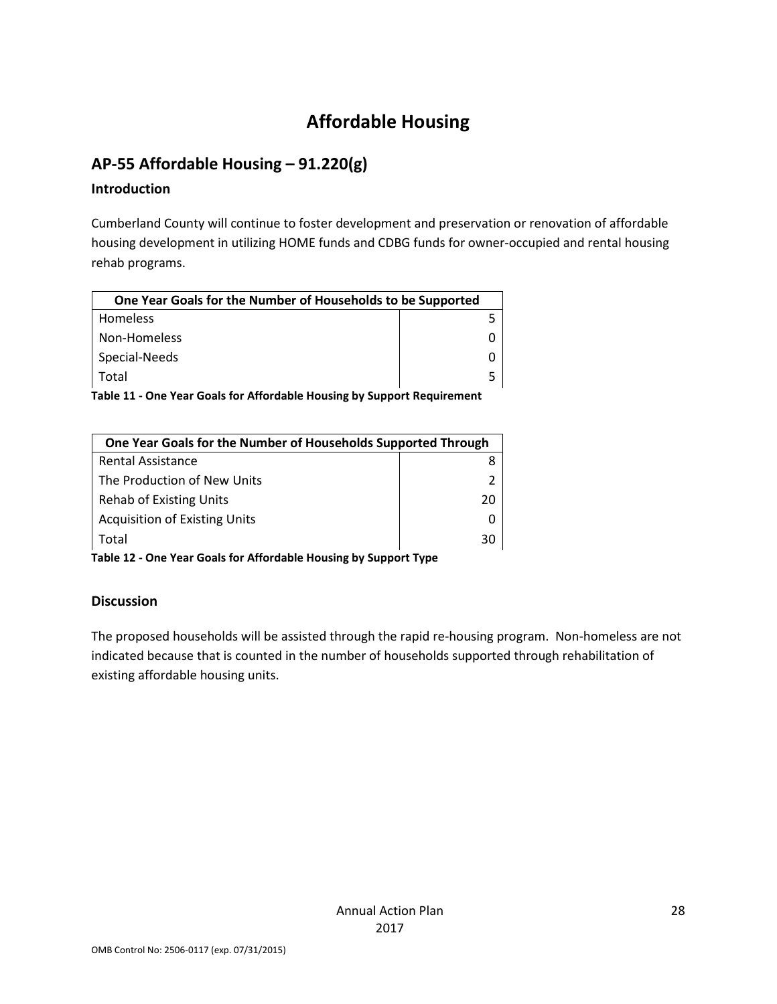# **Affordable Housing**

## **AP-55 Affordable Housing – 91.220(g)**

#### **Introduction**

Cumberland County will continue to foster development and preservation or renovation of affordable housing development in utilizing HOME funds and CDBG funds for owner-occupied and rental housing rehab programs.

| One Year Goals for the Number of Households to be Supported |  |  |
|-------------------------------------------------------------|--|--|
| <b>Homeless</b>                                             |  |  |
| Non-Homeless                                                |  |  |
| Special-Needs                                               |  |  |
| Total                                                       |  |  |

**Table 11 - One Year Goals for Affordable Housing by Support Requirement**

| One Year Goals for the Number of Households Supported Through |    |  |
|---------------------------------------------------------------|----|--|
| <b>Rental Assistance</b>                                      |    |  |
| The Production of New Units                                   |    |  |
| <b>Rehab of Existing Units</b>                                | 20 |  |
| <b>Acquisition of Existing Units</b>                          |    |  |
| Total                                                         | วก |  |

**Table 12 - One Year Goals for Affordable Housing by Support Type**

## **Discussion**

The proposed households will be assisted through the rapid re-housing program. Non-homeless are not indicated because that is counted in the number of households supported through rehabilitation of existing affordable housing units.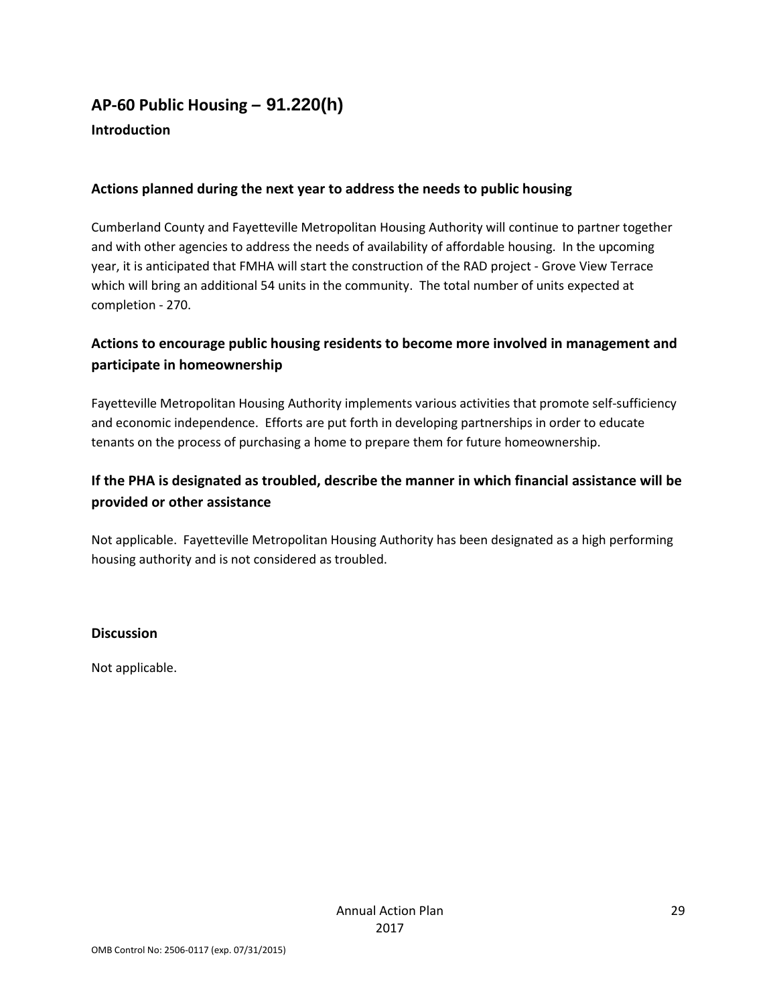## **AP-60 Public Housing** *–* **91.220(h)**

## **Introduction**

## **Actions planned during the next year to address the needs to public housing**

Cumberland County and Fayetteville Metropolitan Housing Authority will continue to partner together and with other agencies to address the needs of availability of affordable housing. In the upcoming year, it is anticipated that FMHA will start the construction of the RAD project - Grove View Terrace which will bring an additional 54 units in the community. The total number of units expected at completion - 270.

## **Actions to encourage public housing residents to become more involved in management and participate in homeownership**

Fayetteville Metropolitan Housing Authority implements various activities that promote self-sufficiency and economic independence. Efforts are put forth in developing partnerships in order to educate tenants on the process of purchasing a home to prepare them for future homeownership.

## **If the PHA is designated as troubled, describe the manner in which financial assistance will be provided or other assistance**

Not applicable. Fayetteville Metropolitan Housing Authority has been designated as a high performing housing authority and is not considered as troubled.

#### **Discussion**

Not applicable.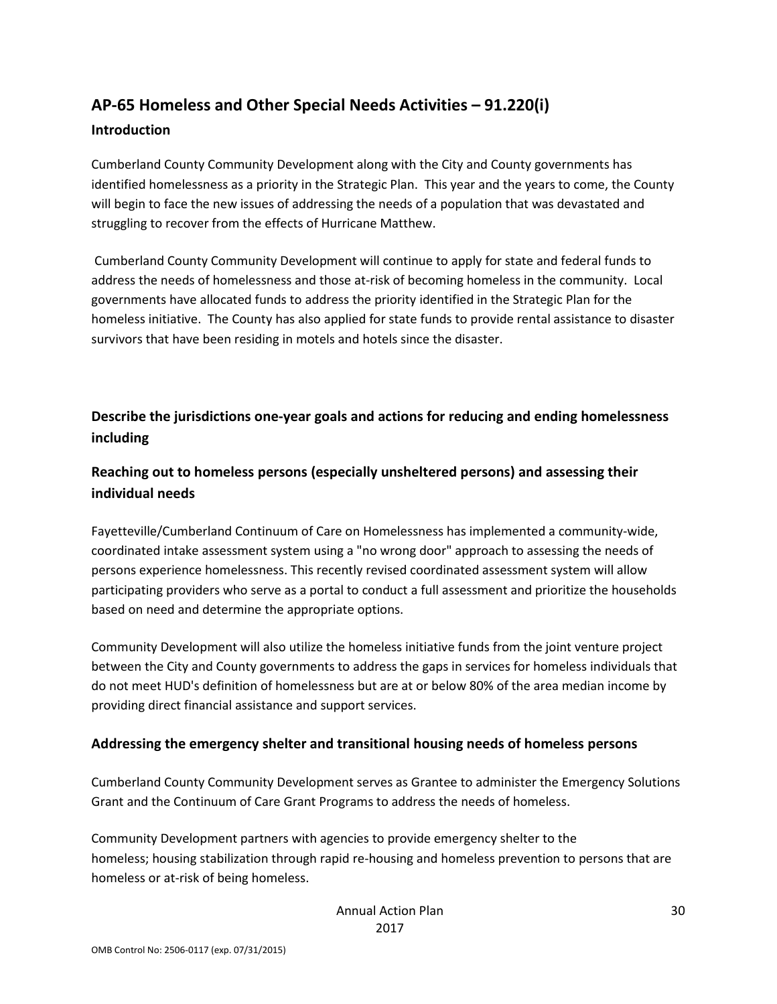## **AP-65 Homeless and Other Special Needs Activities – 91.220(i)**

#### **Introduction**

Cumberland County Community Development along with the City and County governments has identified homelessness as a priority in the Strategic Plan. This year and the years to come, the County will begin to face the new issues of addressing the needs of a population that was devastated and struggling to recover from the effects of Hurricane Matthew.

Cumberland County Community Development will continue to apply for state and federal funds to address the needs of homelessness and those at-risk of becoming homeless in the community. Local governments have allocated funds to address the priority identified in the Strategic Plan for the homeless initiative. The County has also applied for state funds to provide rental assistance to disaster survivors that have been residing in motels and hotels since the disaster.

## **Describe the jurisdictions one-year goals and actions for reducing and ending homelessness including**

## **Reaching out to homeless persons (especially unsheltered persons) and assessing their individual needs**

Fayetteville/Cumberland Continuum of Care on Homelessness has implemented a community-wide, coordinated intake assessment system using a "no wrong door" approach to assessing the needs of persons experience homelessness. This recently revised coordinated assessment system will allow participating providers who serve as a portal to conduct a full assessment and prioritize the households based on need and determine the appropriate options.

Community Development will also utilize the homeless initiative funds from the joint venture project between the City and County governments to address the gaps in services for homeless individuals that do not meet HUD's definition of homelessness but are at or below 80% of the area median income by providing direct financial assistance and support services.

## **Addressing the emergency shelter and transitional housing needs of homeless persons**

Cumberland County Community Development serves as Grantee to administer the Emergency Solutions Grant and the Continuum of Care Grant Programs to address the needs of homeless.

Community Development partners with agencies to provide emergency shelter to the homeless; housing stabilization through rapid re-housing and homeless prevention to persons that are homeless or at-risk of being homeless.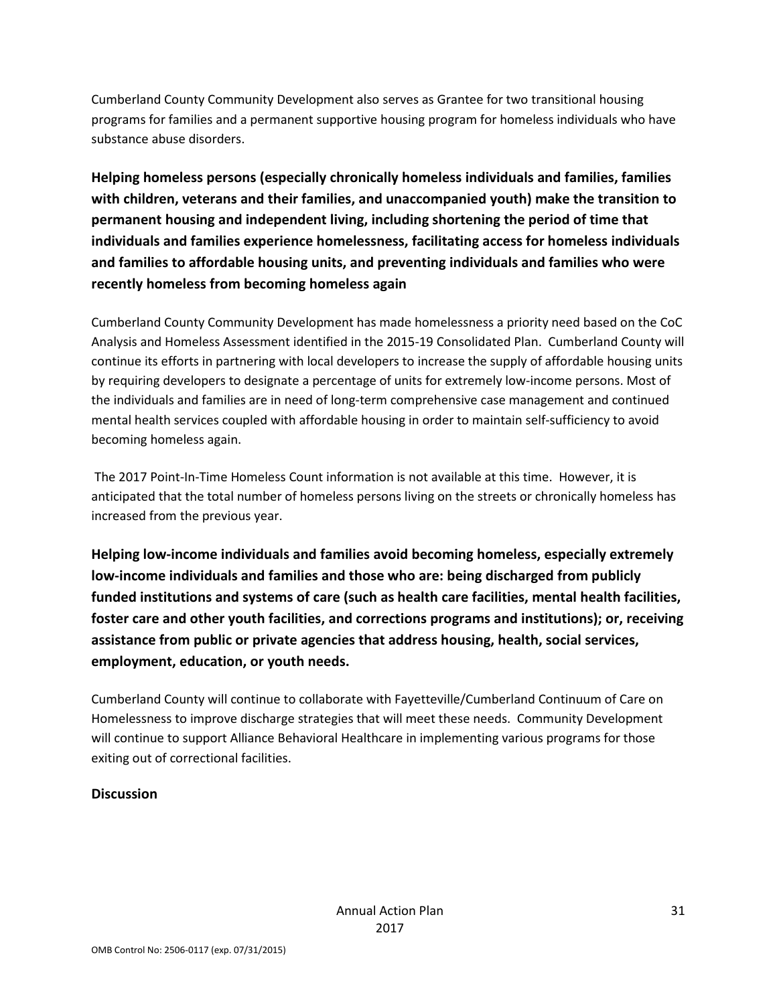Cumberland County Community Development also serves as Grantee for two transitional housing programs for families and a permanent supportive housing program for homeless individuals who have substance abuse disorders.

**Helping homeless persons (especially chronically homeless individuals and families, families with children, veterans and their families, and unaccompanied youth) make the transition to permanent housing and independent living, including shortening the period of time that individuals and families experience homelessness, facilitating access for homeless individuals and families to affordable housing units, and preventing individuals and families who were recently homeless from becoming homeless again**

Cumberland County Community Development has made homelessness a priority need based on the CoC Analysis and Homeless Assessment identified in the 2015-19 Consolidated Plan. Cumberland County will continue its efforts in partnering with local developers to increase the supply of affordable housing units by requiring developers to designate a percentage of units for extremely low-income persons. Most of the individuals and families are in need of long-term comprehensive case management and continued mental health services coupled with affordable housing in order to maintain self-sufficiency to avoid becoming homeless again.

The 2017 Point-In-Time Homeless Count information is not available at this time. However, it is anticipated that the total number of homeless persons living on the streets or chronically homeless has increased from the previous year.

**Helping low-income individuals and families avoid becoming homeless, especially extremely low-income individuals and families and those who are: being discharged from publicly funded institutions and systems of care (such as health care facilities, mental health facilities, foster care and other youth facilities, and corrections programs and institutions); or, receiving assistance from public or private agencies that address housing, health, social services, employment, education, or youth needs.**

Cumberland County will continue to collaborate with Fayetteville/Cumberland Continuum of Care on Homelessness to improve discharge strategies that will meet these needs. Community Development will continue to support Alliance Behavioral Healthcare in implementing various programs for those exiting out of correctional facilities.

## **Discussion**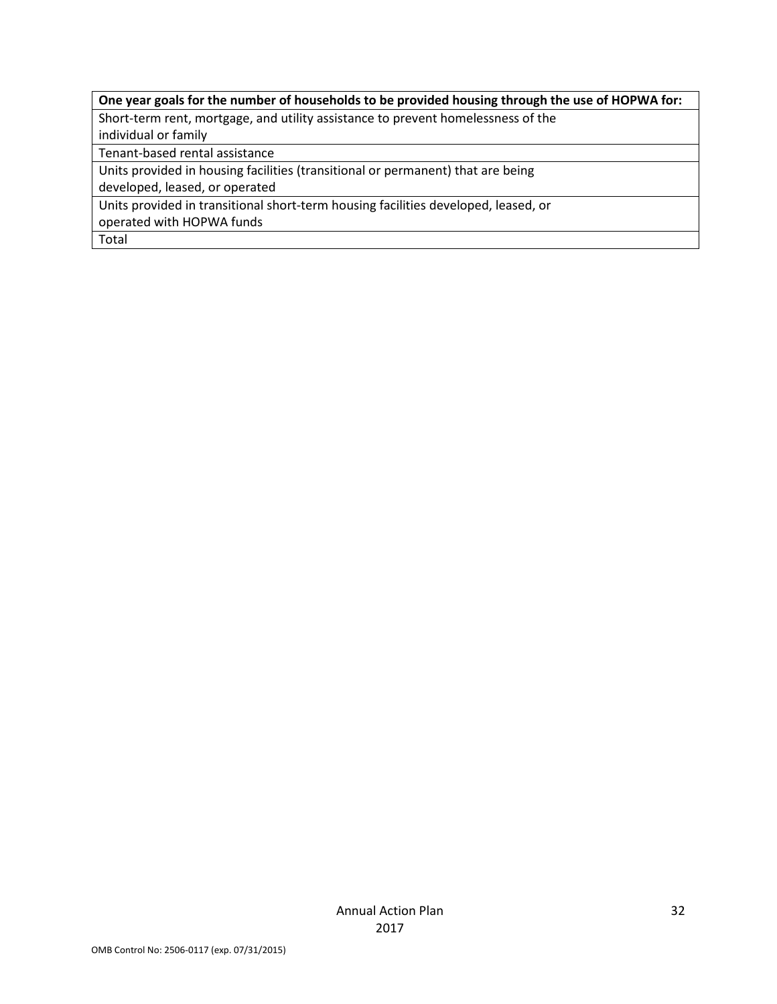## **One year goals for the number of households to be provided housing through the use of HOPWA for:**

Short-term rent, mortgage, and utility assistance to prevent homelessness of the

individual or family

Tenant-based rental assistance

Units provided in housing facilities (transitional or permanent) that are being

developed, leased, or operated

Units provided in transitional short-term housing facilities developed, leased, or

operated with HOPWA funds

Total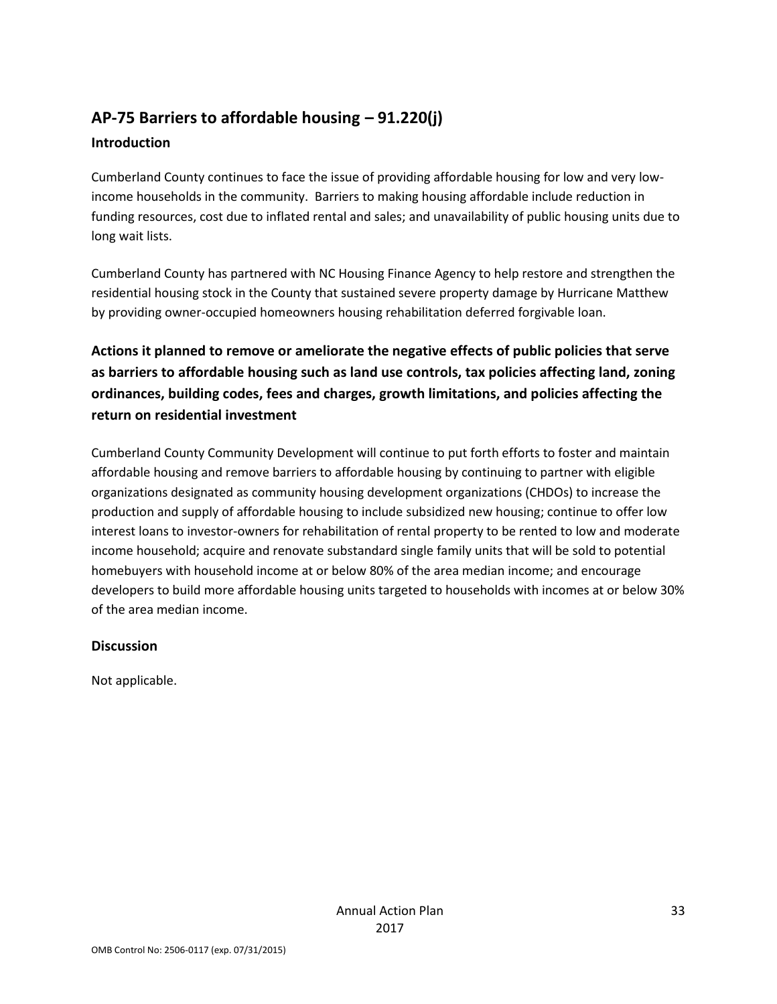# **AP-75 Barriers to affordable housing – 91.220(j)**

## **Introduction**

Cumberland County continues to face the issue of providing affordable housing for low and very lowincome households in the community. Barriers to making housing affordable include reduction in funding resources, cost due to inflated rental and sales; and unavailability of public housing units due to long wait lists.

Cumberland County has partnered with NC Housing Finance Agency to help restore and strengthen the residential housing stock in the County that sustained severe property damage by Hurricane Matthew by providing owner-occupied homeowners housing rehabilitation deferred forgivable loan.

**Actions it planned to remove or ameliorate the negative effects of public policies that serve as barriers to affordable housing such as land use controls, tax policies affecting land, zoning ordinances, building codes, fees and charges, growth limitations, and policies affecting the return on residential investment**

Cumberland County Community Development will continue to put forth efforts to foster and maintain affordable housing and remove barriers to affordable housing by continuing to partner with eligible organizations designated as community housing development organizations (CHDOs) to increase the production and supply of affordable housing to include subsidized new housing; continue to offer low interest loans to investor-owners for rehabilitation of rental property to be rented to low and moderate income household; acquire and renovate substandard single family units that will be sold to potential homebuyers with household income at or below 80% of the area median income; and encourage developers to build more affordable housing units targeted to households with incomes at or below 30% of the area median income.

## **Discussion**

Not applicable.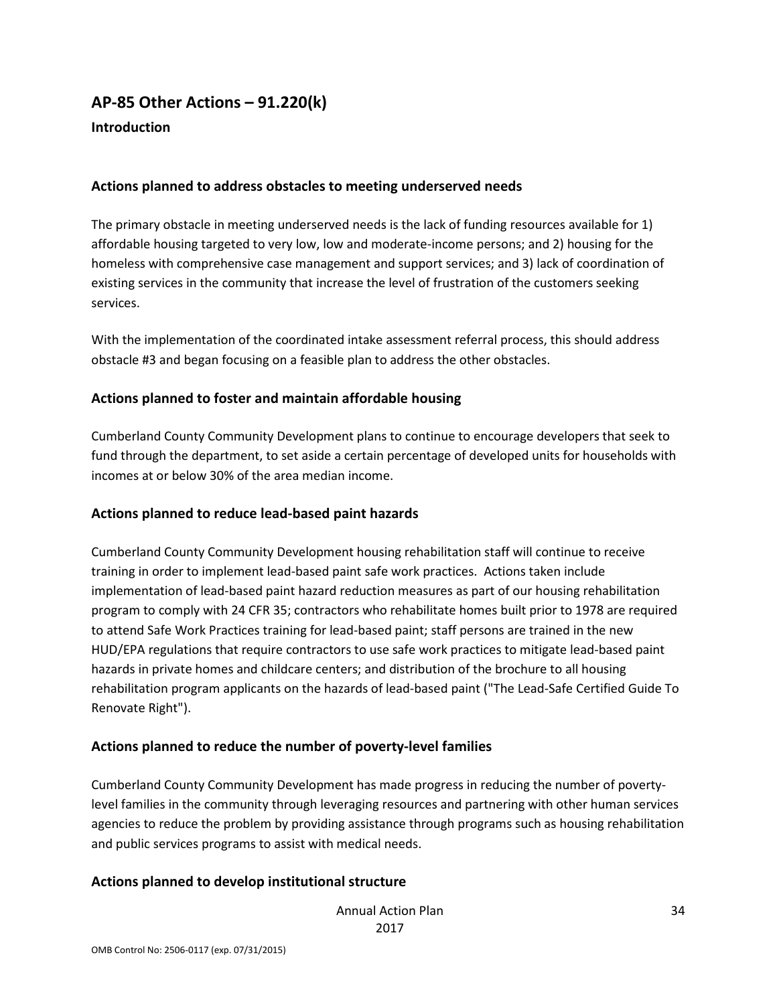## **AP-85 Other Actions – 91.220(k)**

#### **Introduction**

#### **Actions planned to address obstacles to meeting underserved needs**

The primary obstacle in meeting underserved needs is the lack of funding resources available for 1) affordable housing targeted to very low, low and moderate-income persons; and 2) housing for the homeless with comprehensive case management and support services; and 3) lack of coordination of existing services in the community that increase the level of frustration of the customers seeking services.

With the implementation of the coordinated intake assessment referral process, this should address obstacle #3 and began focusing on a feasible plan to address the other obstacles.

#### **Actions planned to foster and maintain affordable housing**

Cumberland County Community Development plans to continue to encourage developers that seek to fund through the department, to set aside a certain percentage of developed units for households with incomes at or below 30% of the area median income.

#### **Actions planned to reduce lead-based paint hazards**

Cumberland County Community Development housing rehabilitation staff will continue to receive training in order to implement lead-based paint safe work practices. Actions taken include implementation of lead-based paint hazard reduction measures as part of our housing rehabilitation program to comply with 24 CFR 35; contractors who rehabilitate homes built prior to 1978 are required to attend Safe Work Practices training for lead-based paint; staff persons are trained in the new HUD/EPA regulations that require contractors to use safe work practices to mitigate lead-based paint hazards in private homes and childcare centers; and distribution of the brochure to all housing rehabilitation program applicants on the hazards of lead-based paint ("The Lead-Safe Certified Guide To Renovate Right").

#### **Actions planned to reduce the number of poverty-level families**

Cumberland County Community Development has made progress in reducing the number of povertylevel families in the community through leveraging resources and partnering with other human services agencies to reduce the problem by providing assistance through programs such as housing rehabilitation and public services programs to assist with medical needs.

#### **Actions planned to develop institutional structure**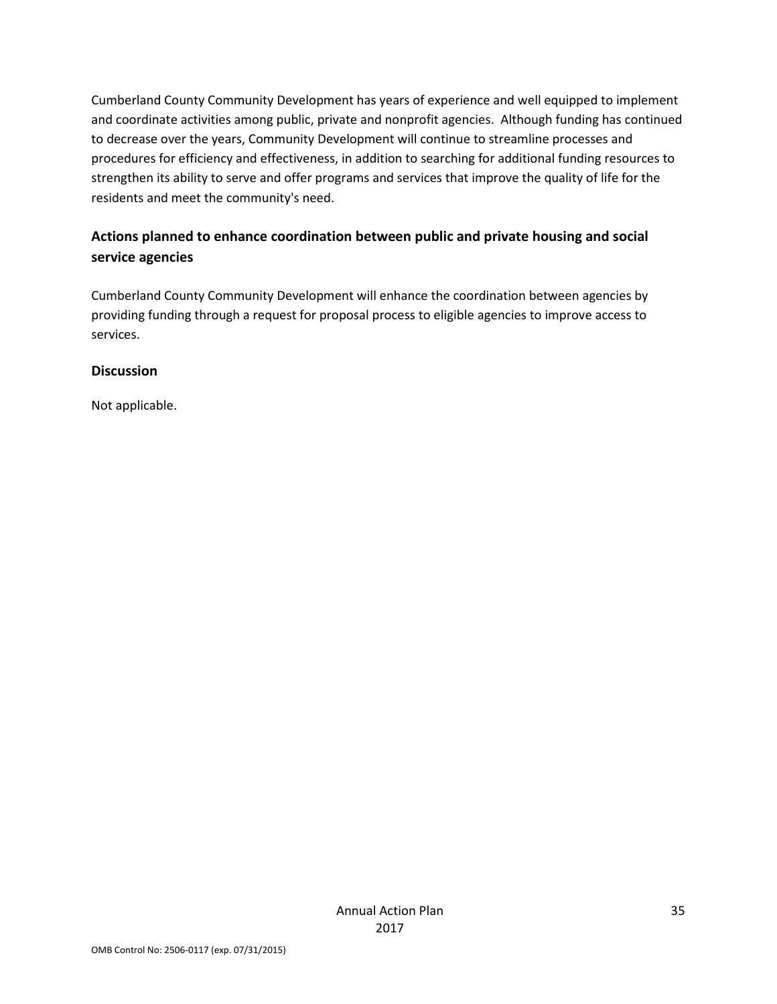Cumberland County Community Development has years of experience and well equipped to implement and coordinate activities among public, private and nonprofit agencies. Although funding has continued to decrease over the years, Community Development will continue to streamline processes and procedures for efficiency and effectiveness, in addition to searching for additional funding resources to strengthen its ability to serve and offer programs and services that improve the quality of life for the residents and meet the community's need.

## **Actions planned to enhance coordination between public and private housing and social service agencies**

Cumberland County Community Development will enhance the coordination between agencies by providing funding through a request for proposal process to eligible agencies to improve access to services.

#### **Discussion**

Not applicable.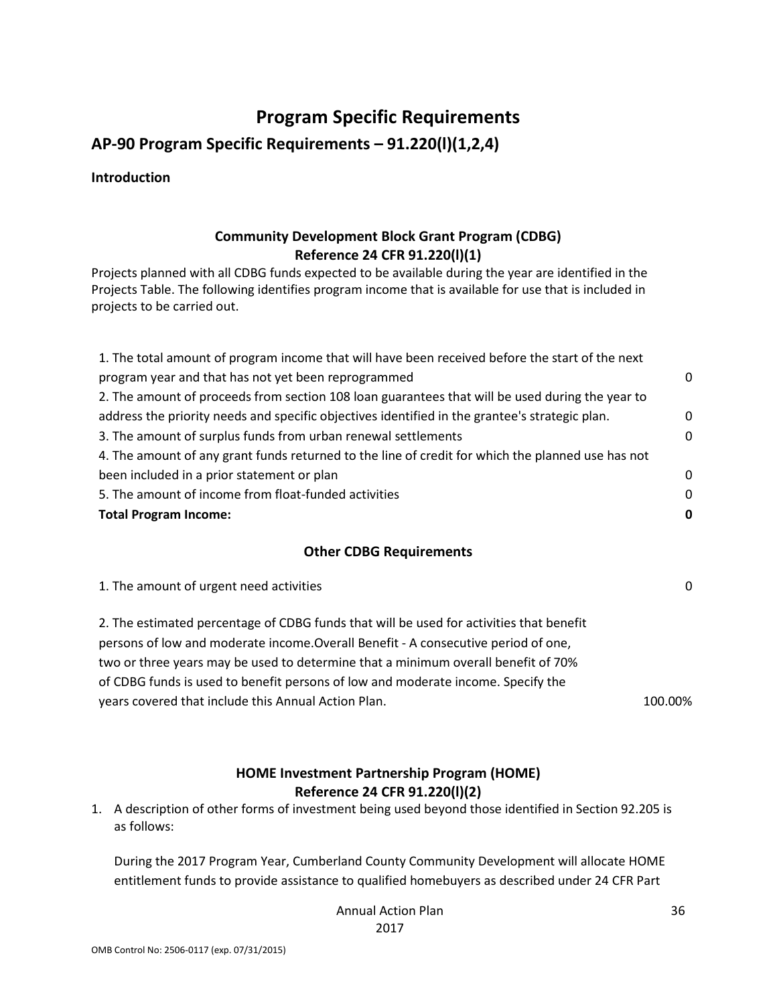## **Program Specific Requirements**

**AP-90 Program Specific Requirements – 91.220(l)(1,2,4)**

**Introduction**

## **Community Development Block Grant Program (CDBG) Reference 24 CFR 91.220(l)(1)**

Projects planned with all CDBG funds expected to be available during the year are identified in the Projects Table. The following identifies program income that is available for use that is included in projects to be carried out.

| 1. The total amount of program income that will have been received before the start of the next   |             |
|---------------------------------------------------------------------------------------------------|-------------|
| program year and that has not yet been reprogrammed                                               | $\Omega$    |
| 2. The amount of proceeds from section 108 loan guarantees that will be used during the year to   |             |
| address the priority needs and specific objectives identified in the grantee's strategic plan.    | $\mathbf 0$ |
| 3. The amount of surplus funds from urban renewal settlements                                     | $\Omega$    |
| 4. The amount of any grant funds returned to the line of credit for which the planned use has not |             |
| been included in a prior statement or plan                                                        | $\Omega$    |
| 5. The amount of income from float-funded activities                                              | $\Omega$    |
| <b>Total Program Income:</b>                                                                      | 0           |
|                                                                                                   |             |

#### **Other CDBG Requirements**

1. The amount of urgent need activities 0

2. The estimated percentage of CDBG funds that will be used for activities that benefit persons of low and moderate income.Overall Benefit - A consecutive period of one, two or three years may be used to determine that a minimum overall benefit of 70% of CDBG funds is used to benefit persons of low and moderate income. Specify the years covered that include this Annual Action Plan. 100.000 100.000 100.000 100.000 100.000 100.000 100.000 10

## **HOME Investment Partnership Program (HOME) Reference 24 CFR 91.220(l)(2)**

1. A description of other forms of investment being used beyond those identified in Section 92.205 is as follows:

During the 2017 Program Year, Cumberland County Community Development will allocate HOME entitlement funds to provide assistance to qualified homebuyers as described under 24 CFR Part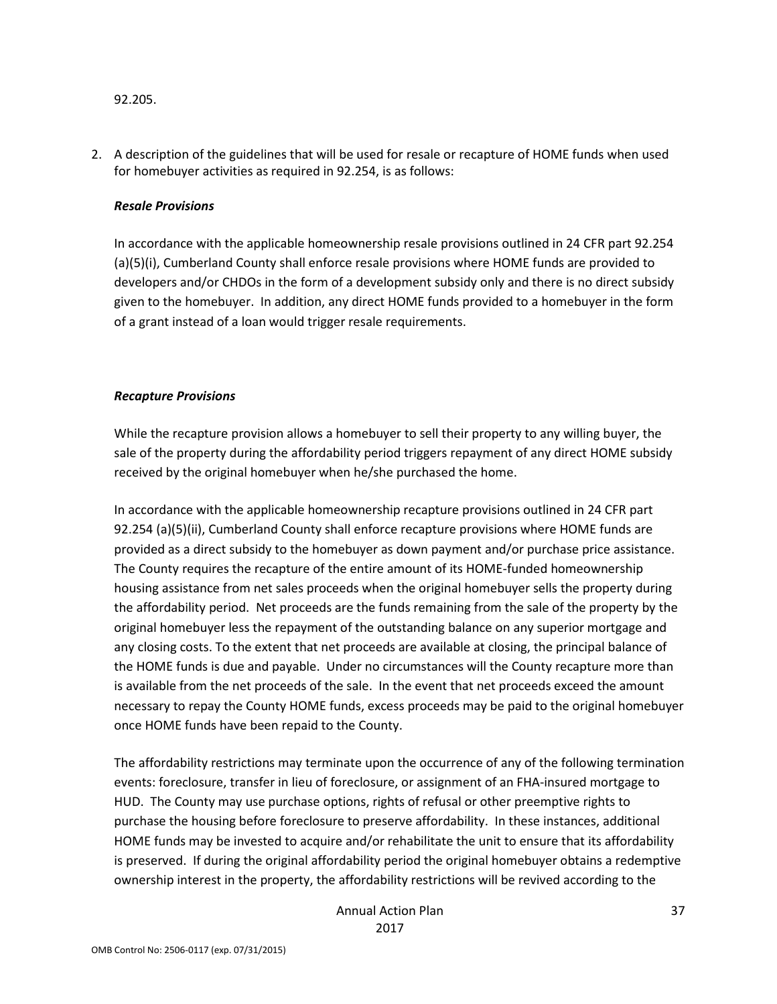92.205.

2. A description of the guidelines that will be used for resale or recapture of HOME funds when used for homebuyer activities as required in 92.254, is as follows:

#### *Resale Provisions*

In accordance with the applicable homeownership resale provisions outlined in 24 CFR part 92.254 (a)(5)(i), Cumberland County shall enforce resale provisions where HOME funds are provided to developers and/or CHDOs in the form of a development subsidy only and there is no direct subsidy given to the homebuyer. In addition, any direct HOME funds provided to a homebuyer in the form of a grant instead of a loan would trigger resale requirements.

#### *Recapture Provisions*

While the recapture provision allows a homebuyer to sell their property to any willing buyer, the sale of the property during the affordability period triggers repayment of any direct HOME subsidy received by the original homebuyer when he/she purchased the home.

In accordance with the applicable homeownership recapture provisions outlined in 24 CFR part 92.254 (a)(5)(ii), Cumberland County shall enforce recapture provisions where HOME funds are provided as a direct subsidy to the homebuyer as down payment and/or purchase price assistance. The County requires the recapture of the entire amount of its HOME-funded homeownership housing assistance from net sales proceeds when the original homebuyer sells the property during the affordability period. Net proceeds are the funds remaining from the sale of the property by the original homebuyer less the repayment of the outstanding balance on any superior mortgage and any closing costs. To the extent that net proceeds are available at closing, the principal balance of the HOME funds is due and payable. Under no circumstances will the County recapture more than is available from the net proceeds of the sale. In the event that net proceeds exceed the amount necessary to repay the County HOME funds, excess proceeds may be paid to the original homebuyer once HOME funds have been repaid to the County.

The affordability restrictions may terminate upon the occurrence of any of the following termination events: foreclosure, transfer in lieu of foreclosure, or assignment of an FHA-insured mortgage to HUD. The County may use purchase options, rights of refusal or other preemptive rights to purchase the housing before foreclosure to preserve affordability. In these instances, additional HOME funds may be invested to acquire and/or rehabilitate the unit to ensure that its affordability is preserved. If during the original affordability period the original homebuyer obtains a redemptive ownership interest in the property, the affordability restrictions will be revived according to the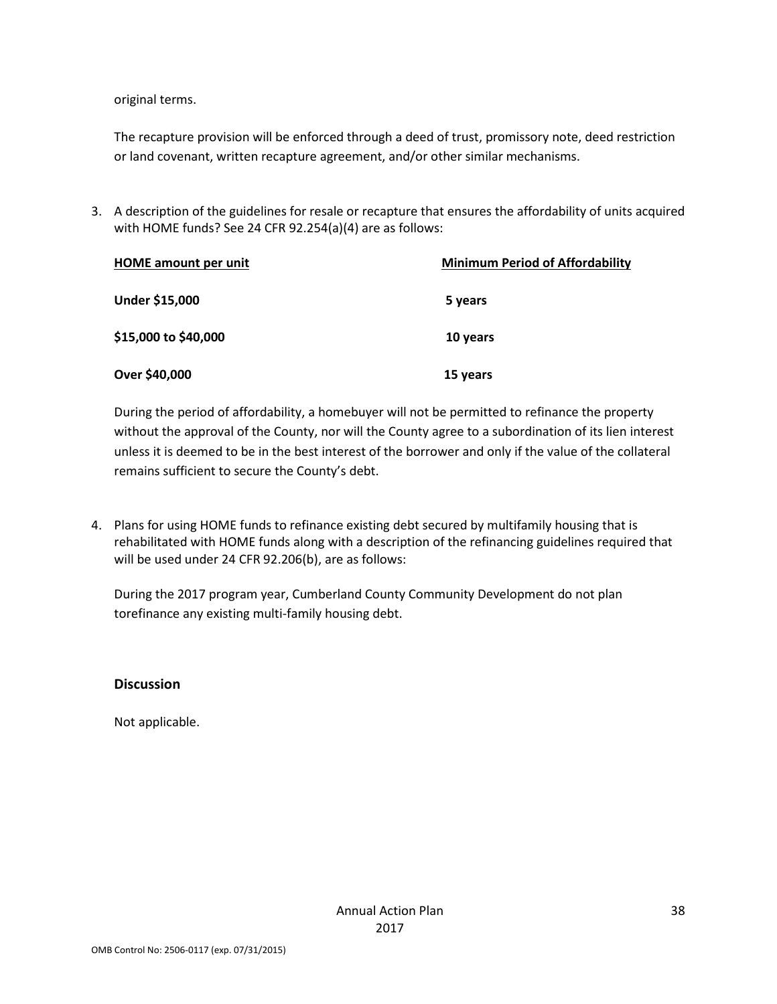original terms.

The recapture provision will be enforced through a deed of trust, promissory note, deed restriction or land covenant, written recapture agreement, and/or other similar mechanisms.

3. A description of the guidelines for resale or recapture that ensures the affordability of units acquired with HOME funds? See 24 CFR 92.254(a)(4) are as follows:

| <b>HOME</b> amount per unit | <b>Minimum Period of Affordability</b> |  |
|-----------------------------|----------------------------------------|--|
| Under \$15,000              | 5 years                                |  |
| \$15,000 to \$40,000        | 10 years                               |  |
| Over \$40,000               | 15 years                               |  |

During the period of affordability, a homebuyer will not be permitted to refinance the property without the approval of the County, nor will the County agree to a subordination of its lien interest unless it is deemed to be in the best interest of the borrower and only if the value of the collateral remains sufficient to secure the County's debt.

4. Plans for using HOME funds to refinance existing debt secured by multifamily housing that is rehabilitated with HOME funds along with a description of the refinancing guidelines required that will be used under 24 CFR 92.206(b), are as follows:

During the 2017 program year, Cumberland County Community Development do not plan torefinance any existing multi-family housing debt.

#### **Discussion**

Not applicable.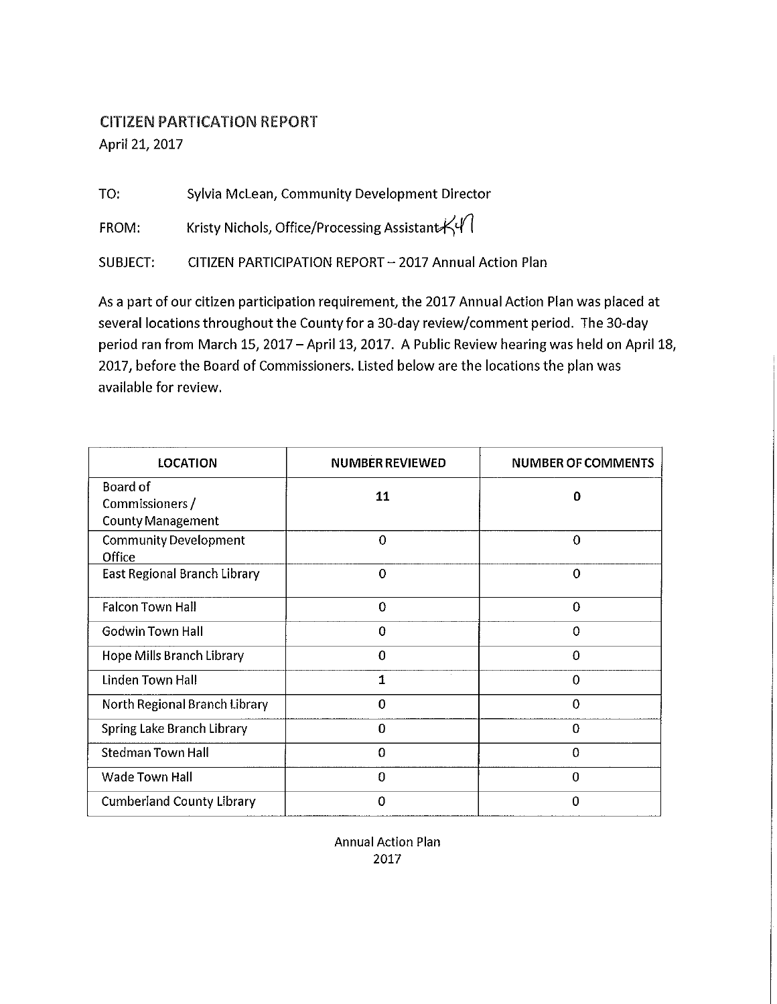## **CITIZEN PARTICATION REPORT** April 21, 2017

Sylvia McLean, Community Development Director TO:

Kristy Nichols, Office/Processing Assistant $K$ FROM:

CITIZEN PARTICIPATION REPORT - 2017 Annual Action Plan **SUBJECT:** 

As a part of our citizen participation requirement, the 2017 Annual Action Plan was placed at several locations throughout the County for a 30-day review/comment period. The 30-day period ran from March 15, 2017 - April 13, 2017. A Public Review hearing was held on April 18, 2017, before the Board of Commissioners. Listed below are the locations the plan was available for review.

| <b>LOCATION</b>                                                | <b>NUMBER REVIEWED</b> | <b>NUMBER OF COMMENTS</b> |
|----------------------------------------------------------------|------------------------|---------------------------|
| <b>Board of</b><br>Commissioners /<br><b>County Management</b> | 11                     | 0                         |
| <b>Community Development</b><br>Office                         | $\mathbf 0$            | 0                         |
| East Regional Branch Library                                   | 0                      | 0                         |
| <b>Falcon Town Hall</b>                                        | 0                      | $\bf{0}$                  |
| Godwin Town Hall                                               | 0                      | $\Omega$                  |
| Hope Mills Branch Library                                      | 0                      | 0                         |
| Linden Town Hall                                               | 1                      | 0                         |
| North Regional Branch Library                                  | 0                      | 0                         |
| <b>Spring Lake Branch Library</b>                              | 0                      | $\Omega$                  |
| <b>Stedman Town Hall</b>                                       | 0                      | $\Omega$                  |
| <b>Wade Town Hall</b>                                          | 0                      | $\overline{0}$            |
| <b>Cumberland County Library</b>                               | 0                      | $\Omega$                  |

**Annual Action Plan** 2017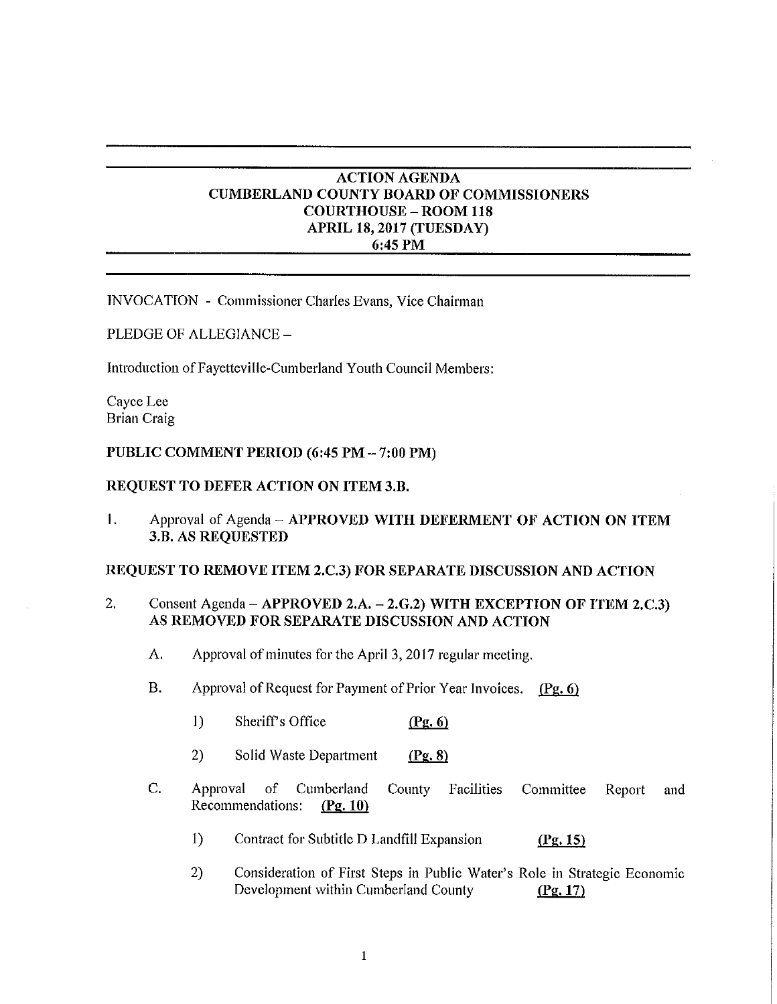#### **ACTION AGENDA CUMBERLAND COUNTY BOARD OF COMMISSIONERS COURTHOUSE - ROOM 118** APRIL 18, 2017 (TUESDAY) 6:45 PM

INVOCATION - Commissioner Charles Evans, Vice Chairman

PLEDGE OF ALLEGIANCE -

Introduction of Fayetteville-Cumberland Youth Council Members:

Cavce Lee **Brian Craig** 

#### PUBLIC COMMENT PERIOD (6:45 PM - 7:00 PM)

#### REQUEST TO DEFER ACTION ON ITEM 3.B.

1. Approval of Agenda - APPROVED WITH DEFERMENT OF ACTION ON ITEM 3.B. AS REQUESTED

#### REQUEST TO REMOVE ITEM 2.C.3) FOR SEPARATE DISCUSSION AND ACTION

- $\overline{2}$ . Consent Agenda - APPROVED 2.A. - 2.G.2) WITH EXCEPTION OF ITEM 2.C.3) AS REMOVED FOR SEPARATE DISCUSSION AND ACTION
	- A. Approval of minutes for the April 3, 2017 regular meeting.
	- **B.** Approval of Request for Payment of Prior Year Invoices. (Pg. 6)
		- $1)$ Sheriff's Office  $(Pg, 6)$
		- $2)$ Solid Waste Department  $(Pg, 8)$
	- C. Approval  $of$ Cumberland County Facilities Committee Report and Recommendations:  $(Pg. 10)$ 
		- $1)$ Contract for Subtitle D Landfill Expansion  $(Pg. 15)$
		- $2)$ Consideration of First Steps in Public Water's Role in Strategic Economic Development within Cumberland County  $(Pg. 17)$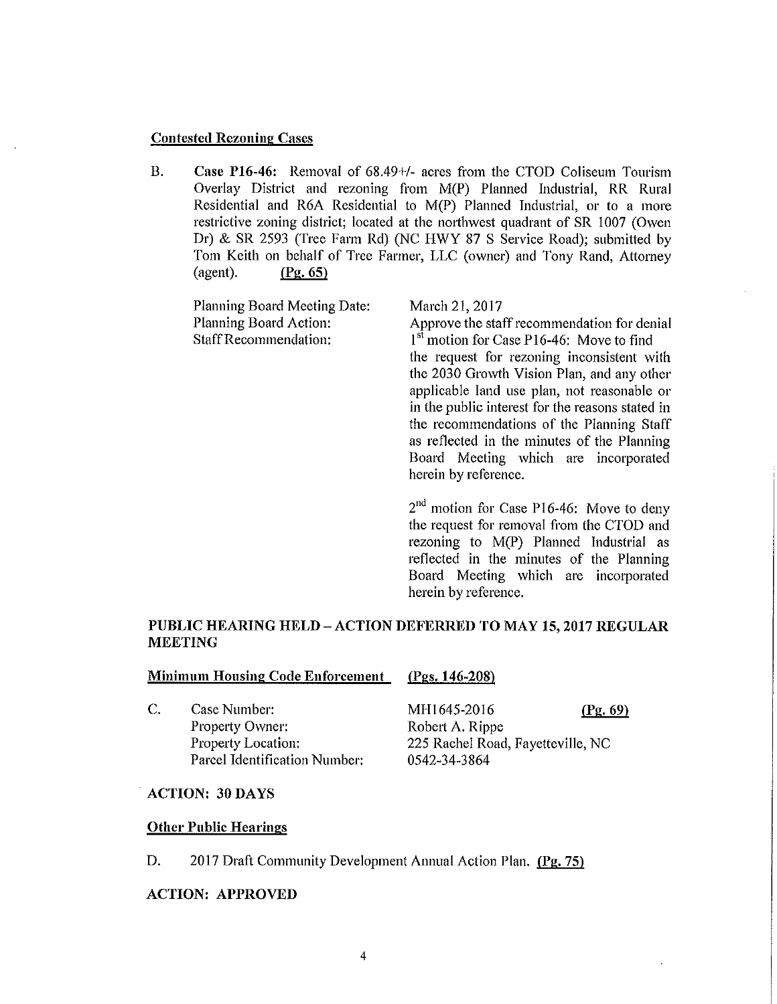#### **Contested Rezoning Cases**

 $B.$ Case P16-46: Removal of 68.49+/- acres from the CTOD Coliseum Tourism Overlay District and rezoning from M(P) Planned Industrial, RR Rural Residential and R6A Residential to M(P) Planned Industrial, or to a more restrictive zoning district; located at the northwest quadrant of SR 1007 (Owen Dr) & SR 2593 (Tree Farm Rd) (NC HWY 87 S Service Road); submitted by Tom Keith on behalf of Tree Farmer, LLC (owner) and Tony Rand, Attorney (agent).  $(Pg. 65)$ 

| Planning Board Meeting Date:<br>Planning Board Action:<br><b>Staff Recommendation:</b> | March 21, 2017<br>Approve the staff recommendation for denial<br>1 <sup>st</sup> motion for Case P16-46: Move to find<br>the request for rezoning inconsistent with<br>the 2030 Growth Vision Plan, and any other |
|----------------------------------------------------------------------------------------|-------------------------------------------------------------------------------------------------------------------------------------------------------------------------------------------------------------------|
|                                                                                        | applicable land use plan, not reasonable or<br>in the public interest for the reasons stated in                                                                                                                   |

2<sup>nd</sup> motion for Case P16-46: Move to deny the request for removal from the CTOD and rezoning to M(P) Planned Industrial as reflected in the minutes of the Planning Board Meeting which are incorporated herein by reference.

the recommendations of the Planning Staff as reflected in the minutes of the Planning Board Meeting which are incorporated

#### PUBLIC HEARING HELD – ACTION DEFERRED TO MAY 15, 2017 REGULAR **MEETING**

#### **Minimum Housing Code Enforcement**

 $\overline{C}$ . Case Number: Property Owner: Property Location: Parcel Identification Number:

#### (Pgs. 146-208)

MH1645-2016

herein by reference.

 $(Pg. 69)$ 

Robert A. Rippe 225 Rachel Road, Fayetteville, NC 0542-34-3864

#### **ACTION: 30 DAYS**

#### **Other Public Hearings**

D. 2017 Draft Community Development Annual Action Plan. (Pg. 75)

#### **ACTION: APPROVED**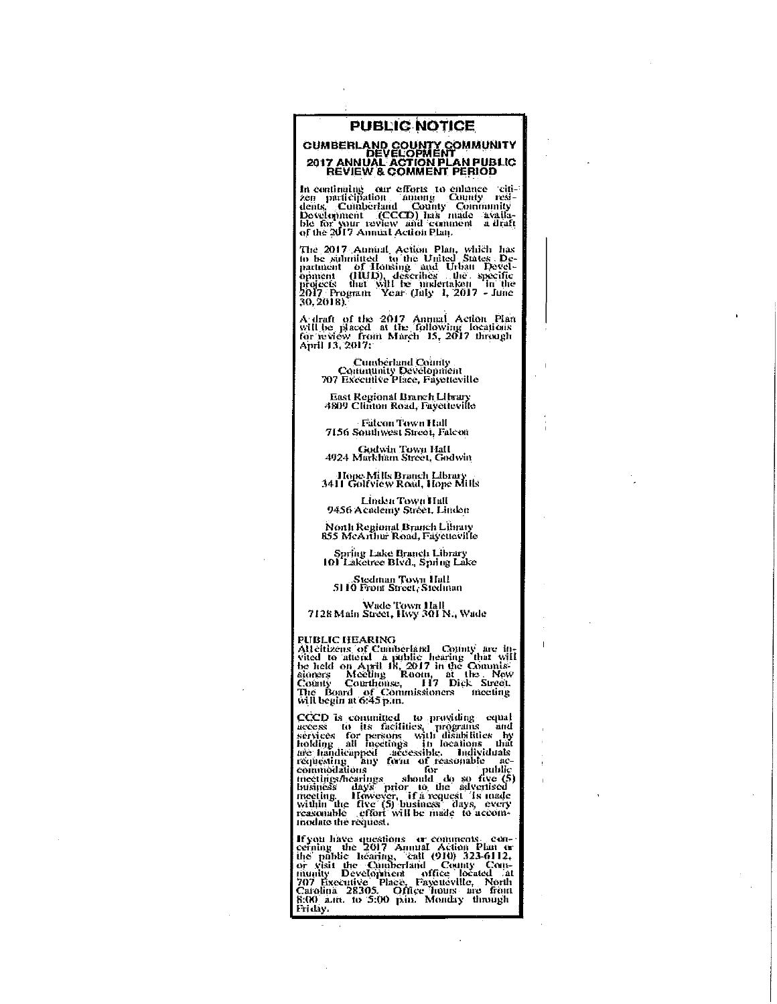#### PUBLIC NOTICE

# CUMBERLAND COUNTY COMMUNITY<br>DEVELOPMENT<br>2017 ANNUAL ACTION PLAN PUBLIC<br>REVIEW & COMMENT PERIOD

In continuing our efforts to enhance 'citi-<br>
zen participation among County resi-<br>
dents, Comberland County Community<br>
Development (CCCCD) has made available for your review and comment a draft<br>
of the 2017 Annual Action P

The 2017 Annual Action Plan, which has<br>to be submitted to the United States De-<br>partment of Housing and Urban Devel-<br>opinion of Housing and Urban alevel-<br>projects that Will be indertaken in the<br>2017 Program Year (July 1, 2  $30,2018$ 

A draft of the 2017 Annual Action Plan will be placed at the following locations for review from March 15, 2017 through April 13, 2017:

Comberland County<br>Community Development<br>707 Executive Place, Fayetteville

East Regional Branch Library<br>4809 Clinton Road, Fayetteville

**Falcon Town Hall** 7156 Southwest Street, Falcon

Godwin Town Hall<br>4924 Markham Street, Godwin

Hope Mills Branch Library<br>3411 Golfview Road, Hope Mills

Linden Town Hall<br>9456 Academy Street, Linden

North Regional Branch Library<br>855 McArthur Road, Faycueville

Spring Lake Branch Library<br>101 Laketree Blvd., Spring Lake

Stedman Town Hall<br>5110 Front Street, Stedman

Wade Town Hall<br>7128 Main Street, Hwy 301 N., Wade

#### **PUBLIC HEARING**

PUBLIC HEARING<br>Alleitzens of Cumberland County are in-<br>Alleitzens of Cumberland a public hearing that will<br>be held on April 18, 2017 in the Commissioners Meeting<br>Roman Counthouse, H7 Dick Street.<br>County Counthouse, H7 Dick

CCCD is committed to providing equal<br>access to its facilities, programs and<br>access to the facilities, programs and<br>services for persons with disabilities by<br>holding all meetings in locations that<br>nee handicapped accessible

If you have questions or comments. concerning the 2017 Annual Action Plan or<br>the pablic hearing, "call (910) 323-6112,<br>or yisit the Quatherland County Construction<br>munity Development office located at<br>707 Executive Place,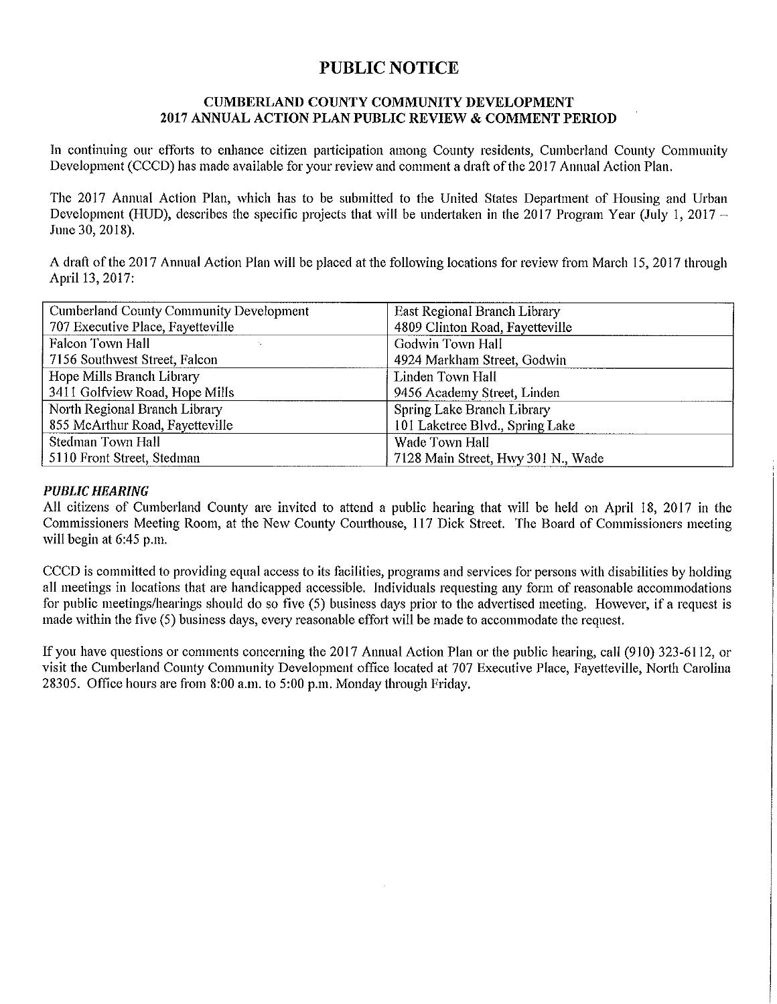## **PUBLIC NOTICE**

#### **CUMBERLAND COUNTY COMMUNITY DEVELOPMENT** 2017 ANNUAL ACTION PLAN PUBLIC REVIEW & COMMENT PERIOD

In continuing our efforts to enhance citizen participation among County residents, Cumberland County Community Development (CCCD) has made available for your review and comment a draft of the 2017 Annual Action Plan.

The 2017 Annual Action Plan, which has to be submitted to the United States Department of Housing and Urban Development (HUD), describes the specific projects that will be undertaken in the 2017 Program Year (July 1, 2017 – June 30, 2018).

A draft of the 2017 Annual Action Plan will be placed at the following locations for review from March 15, 2017 through April 13, 2017:

| Cumberland County Community Development | East Regional Branch Library       |
|-----------------------------------------|------------------------------------|
| 707 Executive Place, Fayetteville       | 4809 Clinton Road, Fayetteville    |
| Falcon Town Hall                        | <b>Godwin Town Hall</b>            |
| 7156 Southwest Street, Falcon           | 4924 Markham Street, Godwin        |
| Hope Mills Branch Library               | Linden Town Hall                   |
| 3411 Golfview Road, Hope Mills          | 9456 Academy Street, Linden        |
| North Regional Branch Library           | Spring Lake Branch Library         |
| 855 McArthur Road, Fayetteville         | 101 Laketree Blyd., Spring Lake    |
| Stedman Town Hall                       | Wade Town Hall                     |
| 5110 Front Street, Stedman              | 7128 Main Street, Hwy 301 N., Wade |

#### **PUBLIC HEARING**

All citizens of Cumberland County are invited to attend a public hearing that will be held on April 18, 2017 in the Commissioners Meeting Room, at the New County Courthouse, 117 Dick Street. The Board of Commissioners meeting will begin at 6:45 p.m.

CCCD is committed to providing equal access to its facilities, programs and services for persons with disabilities by holding all meetings in locations that are handicapped accessible. Individuals requesting any form of reasonable accommodations for public meetings/hearings should do so five (5) business days prior to the advertised meeting. However, if a request is made within the five (5) business days, every reasonable effort will be made to accommodate the request.

If you have questions or comments concerning the 2017 Annual Action Plan or the public hearing, call (910) 323-6112, or visit the Cumberland County Community Development office located at 707 Executive Place, Fayetteville, North Carolina 28305. Office hours are from 8:00 a.m. to 5:00 p.m. Monday through Friday.